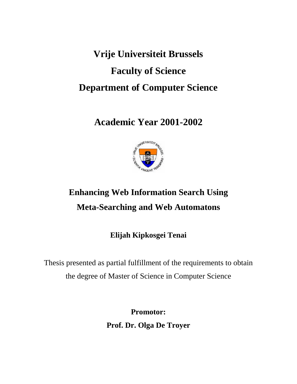# **Vrije Universiteit Brussels Faculty of Science Department of Computer Science**

**Academic Year 2001-2002**



# **Enhancing Web Information Search Using Meta-Searching and Web Automatons**

**Elijah Kipkosgei Tenai**

Thesis presented as partial fulfillment of the requirements to obtain the degree of Master of Science in Computer Science

> **Promotor: Prof. Dr. Olga De Troyer**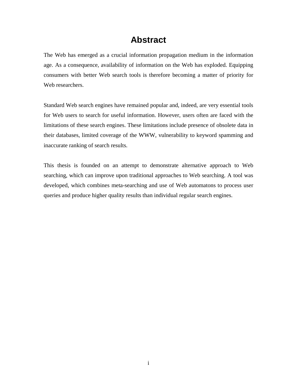# **Abstract**

The Web has emerged as a crucial information propagation medium in the information age. As a consequence, availability of information on the Web has exploded. Equipping consumers with better Web search tools is therefore becoming a matter of priority for Web researchers.

Standard Web search engines have remained popular and, indeed, are very essential tools for Web users to search for useful information. However, users often are faced with the limitations of these search engines. These limitations include presence of obsolete data in their databases, limited coverage of the WWW, vulnerability to keyword spamming and inaccurate ranking of search results.

This thesis is founded on an attempt to demonstrate alternative approach to Web searching, which can improve upon traditional approaches to Web searching. A tool was developed, which combines meta-searching and use of Web automatons to process user queries and produce higher quality results than individual regular search engines.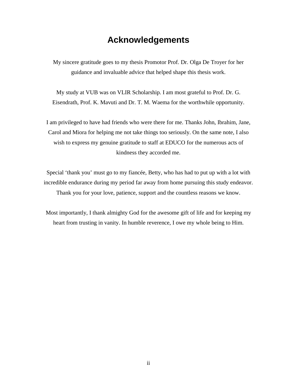# **Acknowledgements**

My sincere gratitude goes to my thesis Promotor Prof. Dr. Olga De Troyer for her guidance and invaluable advice that helped shape this thesis work.

My study at VUB was on VLIR Scholarship. I am most grateful to Prof. Dr. G. Eisendrath, Prof. K. Mavuti and Dr. T. M. Waema for the worthwhile opportunity.

I am privileged to have had friends who were there for me. Thanks John, Ibrahim, Jane, Carol and Miora for helping me not take things too seriously. On the same note, I also wish to express my genuine gratitude to staff at EDUCO for the numerous acts of kindness they accorded me.

Special 'thank you' must go to my fiancée, Betty, who has had to put up with a lot with incredible endurance during my period far away from home pursuing this study endeavor. Thank you for your love, patience, support and the countless reasons we know.

Most importantly, I thank almighty God for the awesome gift of life and for keeping my heart from trusting in vanity. In humble reverence, I owe my whole being to Him.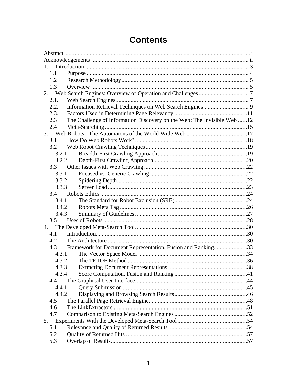| 1.    |                                                                         |
|-------|-------------------------------------------------------------------------|
| 1.1   |                                                                         |
| 1.2   |                                                                         |
| 1.3   |                                                                         |
|       |                                                                         |
| 2.1.  |                                                                         |
| 2.2.  |                                                                         |
| 2.3.  |                                                                         |
| 2.3   | The Challenge of Information Discovery on the Web: The Invisible Web 12 |
| 2.4   |                                                                         |
|       |                                                                         |
| 3.1   |                                                                         |
| 3.2   |                                                                         |
| 3.2.1 |                                                                         |
| 3.2.2 |                                                                         |
| 3.3   |                                                                         |
| 3.3.1 |                                                                         |
| 3.3.2 |                                                                         |
| 3.3.3 |                                                                         |
|       |                                                                         |
| 3.4.1 |                                                                         |
| 3.4.2 |                                                                         |
| 3.4.3 |                                                                         |
| 3.5   |                                                                         |
| 4.    |                                                                         |
| 4.1   |                                                                         |
| 4.2   |                                                                         |
| 4.3   | Framework for Document Representation, Fusion and Ranking33             |
| 4.3.1 |                                                                         |
| 4.3.2 |                                                                         |
| 4.3.3 |                                                                         |
| 4.3.4 |                                                                         |
| 4.4   |                                                                         |
| 4.4.1 |                                                                         |
| 4.4.2 |                                                                         |
| 4.5   |                                                                         |
| 4.6   |                                                                         |
| 4.7   |                                                                         |
| 5.    |                                                                         |
| 5.1   |                                                                         |
| 5.2   |                                                                         |
| 5.3   |                                                                         |
|       |                                                                         |

# **Contents**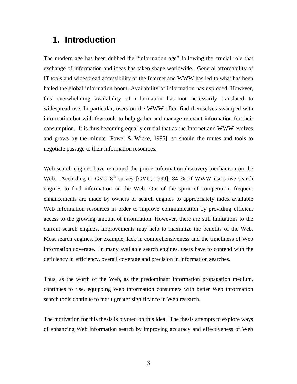# **1. Introduction**

The modern age has been dubbed the "information age" following the crucial role that exchange of information and ideas has taken shape worldwide. General affordability of IT tools and widespread accessibility of the Internet and WWW has led to what has been hailed the global information boom. Availability of information has exploded. However, this overwhelming availability of information has not necessarily translated to widespread use. In particular, users on the WWW often find themselves swamped with information but with few tools to help gather and manage relevant information for their consumption. It is thus becoming equally crucial that as the Internet and WWW evolves and grows by the minute [Powel & Wicke, 1995], so should the routes and tools to negotiate passage to their information resources.

Web search engines have remained the prime information discovery mechanism on the Web. According to GVU  $8<sup>th</sup>$  survey [GVU, 1999], 84 % of WWW users use search engines to find information on the Web. Out of the spirit of competition, frequent enhancements are made by owners of search engines to appropriately index available Web information resources in order to improve communication by providing efficient access to the growing amount of information. However, there are still limitations to the current search engines, improvements may help to maximize the benefits of the Web. Most search engines, for example, lack in comprehensiveness and the timeliness of Web information coverage. In many available search engines, users have to contend with the deficiency in efficiency, overall coverage and precision in information searches.

Thus, as the worth of the Web, as the predominant information propagation medium, continues to rise, equipping Web information consumers with better Web information search tools continue to merit greater significance in Web research.

The motivation for this thesis is pivoted on this idea. The thesis attempts to explore ways of enhancing Web information search by improving accuracy and effectiveness of Web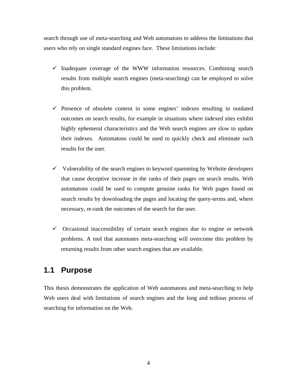search through use of meta-searching and Web automatons to address the limitations that users who rely on single standard engines face. These limitations include:

- $\checkmark$  Inadequate coverage of the WWW information resources. Combining search results from multiple search engines (meta-searching) can be employed to solve this problem.
- $\checkmark$  Presence of obsolete content in some engines' indexes resulting in outdated outcomes on search results, for example in situations where indexed sites exhibit highly ephemeral characteristics and the Web search engines are slow to update their indexes. Automatons could be used to quickly check and eliminate such results for the user.
- $\checkmark$  Vulnerability of the search engines to keyword spamming by Website developers that cause deceptive increase in the ranks of their pages on search results. Web automatons could be used to compute genuine ranks for Web pages found on search results by downloading the pages and locating the query-terms and, where necessary, re-rank the outcomes of the search for the user.
- $\checkmark$  Occasional inaccessibility of certain search engines due to engine or network problems. A tool that automates meta-searching will overcome this problem by returning results from other search engines that are available.

# **1.1 Purpose**

This thesis demonstrates the application of Web automatons and meta-searching to help Web users deal with limitations of search engines and the long and tedious process of searching for information on the Web.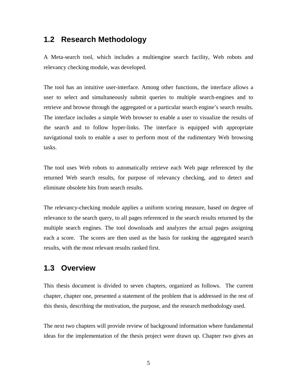### **1.2 Research Methodology**

A Meta-search tool, which includes a multiengine search facility, Web robots and relevancy checking module, was developed.

The tool has an intuitive user-interface. Among other functions, the interface allows a user to select and simultaneously submit queries to multiple search-engines and to retrieve and browse through the aggregated or a particular search engine's search results. The interface includes a simple Web browser to enable a user to visualize the results of the search and to follow hyper-links. The interface is equipped with appropriate navigational tools to enable a user to perform most of the rudimentary Web browsing tasks.

The tool uses Web robots to automatically retrieve each Web page referenced by the returned Web search results, for purpose of relevancy checking, and to detect and eliminate obsolete hits from search results.

The relevancy-checking module applies a uniform scoring measure, based on degree of relevance to the search query, to all pages referenced in the search results returned by the multiple search engines. The tool downloads and analyzes the actual pages assigning each a score. The scores are then used as the basis for ranking the aggregated search results, with the most relevant results ranked first.

## **1.3 Overview**

This thesis document is divided to seven chapters, organized as follows. The current chapter, chapter one, presented a statement of the problem that is addressed in the rest of this thesis, describing the motivation, the purpose, and the research methodology used.

The next two chapters will provide review of background information where fundamental ideas for the implementation of the thesis project were drawn up. Chapter two gives an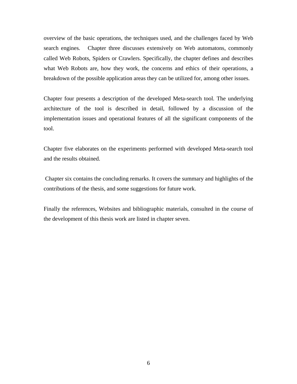overview of the basic operations, the techniques used, and the challenges faced by Web search engines. Chapter three discusses extensively on Web automatons, commonly called Web Robots, Spiders or Crawlers. Specifically, the chapter defines and describes what Web Robots are, how they work, the concerns and ethics of their operations, a breakdown of the possible application areas they can be utilized for, among other issues.

Chapter four presents a description of the developed Meta-search tool. The underlying architecture of the tool is described in detail, followed by a discussion of the implementation issues and operational features of all the significant components of the tool.

Chapter five elaborates on the experiments performed with developed Meta-search tool and the results obtained.

Chapter six contains the concluding remarks. It covers the summary and highlights of the contributions of the thesis, and some suggestions for future work.

Finally the references, Websites and bibliographic materials, consulted in the course of the development of this thesis work are listed in chapter seven.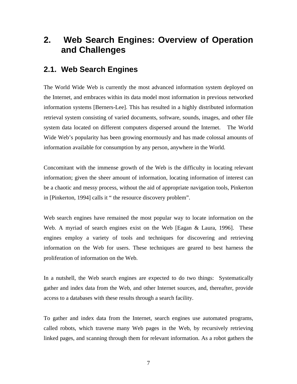# **2. Web Search Engines: Overview of Operation and Challenges**

### **2.1. Web Search Engines**

The World Wide Web is currently the most advanced information system deployed on the Internet, and embraces within its data model most information in previous networked information systems [Berners-Lee]. This has resulted in a highly distributed information retrieval system consisting of varied documents, software, sounds, images, and other file system data located on different computers dispersed around the Internet. The World Wide Web's popularity has been growing enormously and has made colossal amounts of information available for consumption by any person, anywhere in the World.

Concomitant with the immense growth of the Web is the difficulty in locating relevant information; given the sheer amount of information, locating information of interest can be a chaotic and messy process, without the aid of appropriate navigation tools, Pinkerton in [Pinkerton, 1994] calls it " the resource discovery problem".

Web search engines have remained the most popular way to locate information on the Web. A myriad of search engines exist on the Web [Eagan & Laura, 1996]. These engines employ a variety of tools and techniques for discovering and retrieving information on the Web for users. These techniques are geared to best harness the proliferation of information on the Web.

In a nutshell, the Web search engines are expected to do two things: Systematically gather and index data from the Web, and other Internet sources, and, thereafter, provide access to a databases with these results through a search facility.

To gather and index data from the Internet, search engines use automated programs, called robots, which traverse many Web pages in the Web, by recursively retrieving linked pages, and scanning through them for relevant information. As a robot gathers the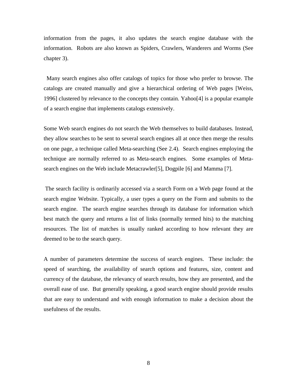information from the pages, it also updates the search engine database with the information. Robots are also known as Spiders, Crawlers, Wanderers and Worms (See chapter 3).

Many search engines also offer catalogs of topics for those who prefer to browse. The catalogs are created manually and give a hierarchical ordering of Web pages [Weiss, 1996] clustered by relevance to the concepts they contain. Yahoo[4] is a popular example of a search engine that implements catalogs extensively.

Some Web search engines do not search the Web themselves to build databases. Instead, they allow searches to be sent to several search engines all at once then merge the results on one page, a technique called Meta-searching (See 2.4). Search engines employing the technique are normally referred to as Meta-search engines. Some examples of Metasearch engines on the Web include Metacrawler[5], Dogpile [6] and Mamma [7].

The search facility is ordinarily accessed via a search Form on a Web page found at the search engine Website. Typically, a user types a query on the Form and submits to the search engine. The search engine searches through its database for information which best match the query and returns a list of links (normally termed hits) to the matching resources. The list of matches is usually ranked according to how relevant they are deemed to be to the search query.

A number of parameters determine the success of search engines. These include: the speed of searching, the availability of search options and features, size, content and currency of the database, the relevancy of search results, how they are presented, and the overall ease of use. But generally speaking, a good search engine should provide results that are easy to understand and with enough information to make a decision about the usefulness of the results.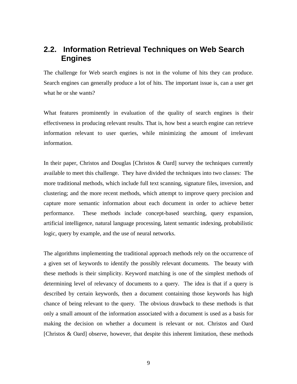# **2.2. Information Retrieval Techniques on Web Search Engines**

The challenge for Web search engines is not in the volume of hits they can produce. Search engines can generally produce a lot of hits. The important issue is, can a user get what he or she wants?

What features prominently in evaluation of the quality of search engines is their effectiveness in producing relevant results. That is, how best a search engine can retrieve information relevant to user queries, while minimizing the amount of irrelevant information.

In their paper, Christos and Douglas [Christos  $\&$  Oard] survey the techniques currently available to meet this challenge. They have divided the techniques into two classes: The more traditional methods, which include full text scanning, signature files, inversion, and clustering; and the more recent methods, which attempt to improve query precision and capture more semantic information about each document in order to achieve better performance. These methods include concept-based searching, query expansion, artificial intelligence, natural language processing, latent semantic indexing, probabilistic logic, query by example, and the use of neural networks.

The algorithms implementing the traditional approach methods rely on the occurrence of a given set of keywords to identify the possibly relevant documents. The beauty with these methods is their simplicity. Keyword matching is one of the simplest methods of determining level of relevancy of documents to a query. The idea is that if a query is described by certain keywords, then a document containing those keywords has high chance of being relevant to the query. The obvious drawback to these methods is that only a small amount of the information associated with a document is used as a basis for making the decision on whether a document is relevant or not. Christos and Oard [Christos & Oard] observe, however, that despite this inherent limitation, these methods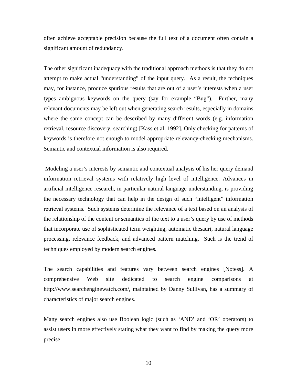often achieve acceptable precision because the full text of a document often contain a significant amount of redundancy.

The other significant inadequacy with the traditional approach methods is that they do not attempt to make actual "understanding" of the input query. As a result, the techniques may, for instance, produce spurious results that are out of a user's interests when a user types ambiguous keywords on the query (say for example "Bug"). Further, many relevant documents may be left out when generating search results, especially in domains where the same concept can be described by many different words (e.g. information retrieval, resource discovery, searching) [Kass et al, 1992]. Only checking for patterns of keywords is therefore not enough to model appropriate relevancy-checking mechanisms. Semantic and contextual information is also required.

Modeling a user's interests by semantic and contextual analysis of his her query demand information retrieval systems with relatively high level of intelligence. Advances in artificial intelligence research, in particular natural language understanding, is providing the necessary technology that can help in the design of such "intelligent" information retrieval systems. Such systems determine the relevance of a text based on an analysis of the relationship of the content or semantics of the text to a user's query by use of methods that incorporate use of sophisticated term weighting, automatic thesauri, natural language processing, relevance feedback, and advanced pattern matching. Such is the trend of techniques employed by modern search engines.

The search capabilities and features vary between search engines [Notess]. A comprehensive Web site dedicated to search engine comparisons at http://www.searchenginewatch.com/, maintained by Danny Sullivan, has a summary of characteristics of major search engines.

Many search engines also use Boolean logic (such as 'AND' and 'OR' operators) to assist users in more effectively stating what they want to find by making the query more precise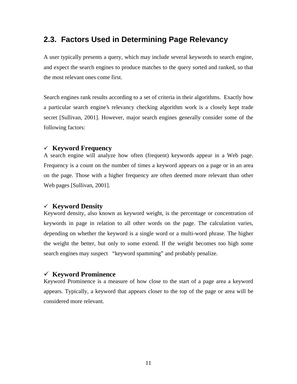# **2.3. Factors Used in Determining Page Relevancy**

A user typically presents a query, which may include several keywords to search engine, and expect the search engines to produce matches to the query sorted and ranked, so that the most relevant ones come first.

Search engines rank results according to a set of criteria in their algorithms. Exactly how a particular search engine's relevancy checking algorithm work is a closely kept trade secret [Sullivan, 2001]. However, major search engines generally consider some of the following factors:

#### <sup>9</sup> **Keyword Frequency**

A search engine will analyze how often (frequent) keywords appear in a Web page. Frequency is a count on the number of times a keyword appears on a page or in an area on the page. Those with a higher frequency are often deemed more relevant than other Web pages [Sullivan, 2001].

#### <sup>9</sup> **Keyword Density**

Keyword density, also known as keyword weight, is the percentage or concentration of keywords in page in relation to all other words on the page. The calculation varies, depending on whether the keyword is a single word or a multi-word phrase. The higher the weight the better, but only to some extend. If the weight becomes too high some search engines may suspect "keyword spamming" and probably penalize.

#### <sup>9</sup> **Keyword Prominence**

Keyword Prominence is a measure of how close to the start of a page area a keyword appears. Typically, a keyword that appears closer to the top of the page or area will be considered more relevant.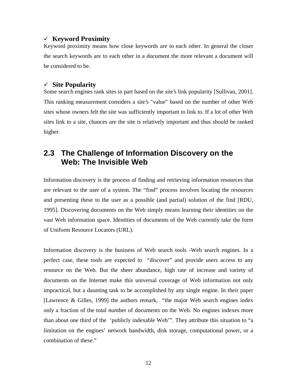#### <sup>9</sup> **Keyword Proximity**

Keyword proximity means how close keywords are to each other. In general the closer the search keywords are to each other in a document the more relevant a document will be considered to be.

#### <sup>9</sup> **Site Popularity**

Some search engines rank sites in part based on the site's link popularity [Sullivan, 2001]. This ranking measurement considers a site's "value" based on the number of other Web sites whose owners felt the site was sufficiently important to link to. If a lot of other Web sites link to a site, chances are the site is relatively important and thus should be ranked higher.

# **2.3 The Challenge of Information Discovery on the Web: The Invisible Web**

Information discovery is the process of finding and retrieving information resources that are relevant to the user of a system. The "find" process involves locating the resources and presenting these to the user as a possible (and partial) solution of the find [RDU, 1995]. Discovering documents on the Web simply means learning their identities on the vast Web information space. Identities of documents of the Web currently take the form of Uniform Resource Locators (URL).

Information discovery is the business of Web search tools -Web search engines. In a perfect case, these tools are expected to "discover" and provide users access to any resource on the Web. But the sheer abundance, high rate of increase and variety of documents on the Internet make this universal coverage of Web information not only impractical, but a daunting task to be accomplished by any single engine. In their paper [Lawrence & Gilles, 1999] the authors remark, "the major Web search engines index only a fraction of the total number of documents on the Web. No engines indexes more than about one third of the 'publicly indexable Web'". They attribute this situation to "a limitation on the engines' network bandwidth, disk storage, computational power, or a combination of these."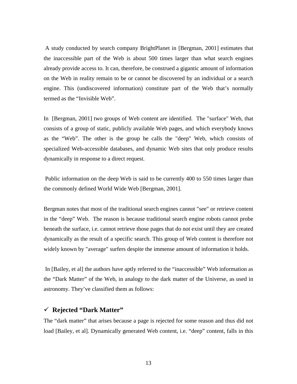A study conducted by search company BrightPlanet in [Bergman, 2001] estimates that the inaccessible part of the Web is about 500 times larger than what search engines already provide access to. It can, therefore, be construed a gigantic amount of information on the Web in reality remain to be or cannot be discovered by an individual or a search engine. This (undiscovered information) constitute part of the Web that's normally termed as the "Invisible Web".

In [Bergman, 2001] two groups of Web content are identified. The "surface" Web, that consists of a group of static, publicly available Web pages, and which everybody knows as the "Web". The other is the group he calls the "deep" Web, which consists of specialized Web-accessible databases, and dynamic Web sites that only produce results dynamically in response to a direct request.

Public information on the deep Web is said to be currently 400 to 550 times larger than the commonly defined World Wide Web [Bergman, 2001].

Bergman notes that most of the traditional search engines cannot "see" or retrieve content in the "deep" Web. The reason is because traditional search engine robots cannot probe beneath the surface, i.e. cannot retrieve those pages that do not exist until they are created dynamically as the result of a specific search. This group of Web content is therefore not widely known by "average" surfers despite the immense amount of information it holds.

In [Bailey, et al] the authors have aptly referred to the "inaccessible" Web information as the "Dark Matter" of the Web, in analogy to the dark matter of the Universe, as used in astronomy. They've classified them as follows:

#### <sup>9</sup> **Rejected "Dark Matter"**

The "dark matter" that arises because a page is rejected for some reason and thus did not load [Bailey, et al]. Dynamically generated Web content, i.e. "deep" content, falls in this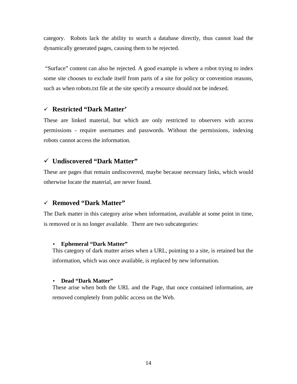category. Robots lack the ability to search a database directly, thus cannot load the dynamically generated pages, causing them to be rejected.

"Surface" content can also be rejected. A good example is where a robot trying to index some site chooses to exclude itself from parts of a site for policy or convention reasons, such as when robots.txt file at the site specify a resource should not be indexed.

#### <sup>9</sup> **Restricted "Dark Matter'**

These are linked material, but which are only restricted to observers with access permissions - require usernames and passwords. Without the permissions, indexing robots cannot access the information.

#### <sup>9</sup> **Undiscovered "Dark Matter"**

These are pages that remain undiscovered, maybe because necessary links, which would otherwise locate the material, are never found.

#### <sup>9</sup> **Removed "Dark Matter"**

The Dark matter in this category arise when information, available at some point in time, is removed or is no longer available. There are two subcategories:

#### • **Ephemeral "Dark Matter"**

This category of dark matter arises when a URL, pointing to a site, is retained but the information, which was once available, is replaced by new information.

#### • **Dead "Dark Matter"**

These arise when both the URL and the Page, that once contained information, are removed completely from public access on the Web.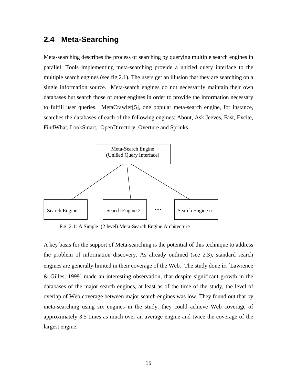# **2.4 Meta-Searching**

Meta-searching describes the process of searching by querying multiple search engines in parallel. Tools implementing meta-searching provide a unified query interface to the multiple search engines (see fig 2.1). The users get an illusion that they are searching on a single information source. Meta-search engines do not necessarily maintain their own databases but search those of other engines in order to provide the information necessary to fulfill user queries. MetaCrawler[5], one popular meta-search engine, for instance, searches the databases of each of the following engines: About, Ask Jeeves, Fast, Excite, FindWhat, LookSmart, OpenDirectory, Overture and Sprinks.



Fig. 2.1: A Simple (2 level) Meta-Search Engine Architecture

A key basis for the support of Meta-searching is the potential of this technique to address the problem of information discovery. As already outlined (see 2.3), standard search engines are generally limited in their coverage of the Web. The study done in [Lawrence & Gilles, 1999] made an interesting observation, that despite significant growth in the databases of the major search engines, at least as of the time of the study, the level of overlap of Web coverage between major search engines was low. They found out that by meta-searching using six engines in the study, they could achieve Web coverage of approximately 3.5 times as much over an average engine and twice the coverage of the largest engine.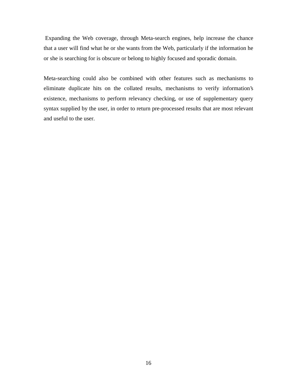Expanding the Web coverage, through Meta-search engines, help increase the chance that a user will find what he or she wants from the Web, particularly if the information he or she is searching for is obscure or belong to highly focused and sporadic domain.

Meta-searching could also be combined with other features such as mechanisms to eliminate duplicate hits on the collated results, mechanisms to verify information's existence, mechanisms to perform relevancy checking, or use of supplementary query syntax supplied by the user, in order to return pre-processed results that are most relevant and useful to the user.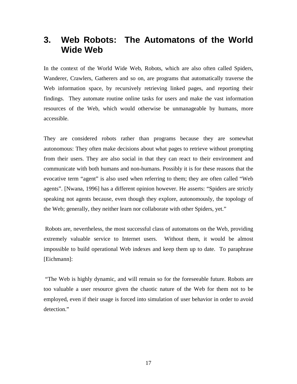# **3. Web Robots: The Automatons of the World Wide Web**

In the context of the World Wide Web, Robots, which are also often called Spiders, Wanderer, Crawlers, Gatherers and so on, are programs that automatically traverse the Web information space, by recursively retrieving linked pages, and reporting their findings. They automate routine online tasks for users and make the vast information resources of the Web, which would otherwise be unmanageable by humans, more accessible.

They are considered robots rather than programs because they are somewhat autonomous: They often make decisions about what pages to retrieve without prompting from their users. They are also social in that they can react to their environment and communicate with both humans and non-humans. Possibly it is for these reasons that the evocative term "agent" is also used when referring to them; they are often called "Web agents". [Nwana, 1996] has a different opinion however. He asserts: "Spiders are strictly speaking not agents because, even though they explore, autonomously, the topology of the Web; generally, they neither learn nor collaborate with other Spiders, yet."

Robots are, nevertheless, the most successful class of automatons on the Web, providing extremely valuable service to Internet users. Without them, it would be almost impossible to build operational Web indexes and keep them up to date. To paraphrase [Eichmann]:

"The Web is highly dynamic, and will remain so for the foreseeable future. Robots are too valuable a user resource given the chaotic nature of the Web for them not to be employed, even if their usage is forced into simulation of user behavior in order to avoid detection."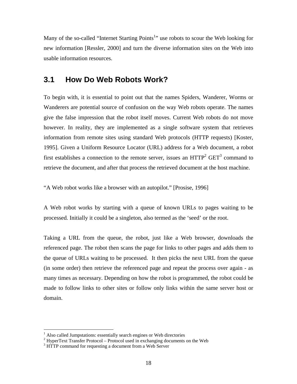Many of the so-called "Internet Starting Points<sup>1</sup>" use robots to scour the Web looking for new information [Ressler, 2000] and turn the diverse information sites on the Web into usable information resources.

### **3.1 How Do Web Robots Work?**

To begin with, it is essential to point out that the names Spiders, Wanderer, Worms or Wanderers are potential source of confusion on the way Web robots operate. The names give the false impression that the robot itself moves. Current Web robots do not move however. In reality, they are implemented as a single software system that retrieves information from remote sites using standard Web protocols (HTTP requests) [Koster, 1995]. Given a Uniform Resource Locator (URL) address for a Web document, a robot first establishes a connection to the remote server, issues an  $HTTP<sup>2</sup> GET<sup>3</sup> command$  to retrieve the document, and after that process the retrieved document at the host machine.

"A Web robot works like a browser with an autopilot." [Prosise, 1996]

A Web robot works by starting with a queue of known URLs to pages waiting to be processed. Initially it could be a singleton, also termed as the 'seed' or the root.

Taking a URL from the queue, the robot, just like a Web browser, downloads the referenced page. The robot then scans the page for links to other pages and adds them to the queue of URLs waiting to be processed. It then picks the next URL from the queue (in some order) then retrieve the referenced page and repeat the process over again - as many times as necessary. Depending on how the robot is programmed, the robot could be made to follow links to other sites or follow only links within the same server host or domain.

 $\overline{a}$ 

<sup>&</sup>lt;sup>1</sup> Also called Jumpstations: essentially search engines or Web directories

<sup>&</sup>lt;sup>2</sup> HyperText Transfer Protocol – Protocol used in exchanging documents on the Web

<sup>&</sup>lt;sup>3</sup> HTTP command for requesting a document from a Web Server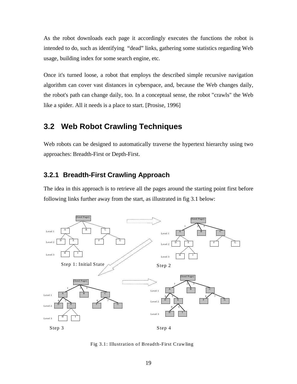As the robot downloads each page it accordingly executes the functions the robot is intended to do, such as identifying "dead" links, gathering some statistics regarding Web usage, building index for some search engine, etc.

Once it's turned loose, a robot that employs the described simple recursive navigation algorithm can cover vast distances in cyberspace, and, because the Web changes daily, the robot's path can change daily, too. In a conceptual sense, the robot "crawls" the Web like a spider. All it needs is a place to start. [Prosise, 1996]

# **3.2 Web Robot Crawling Techniques**

Web robots can be designed to automatically traverse the hypertext hierarchy using two approaches: Breadth-First or Depth-First.

#### **3.2.1 Breadth-First Crawling Approach**

The idea in this approach is to retrieve all the pages around the starting point first before following links further away from the start, as illustrated in fig 3.1 below:



Fig 3.1: Illustration of Breadth-First Crawling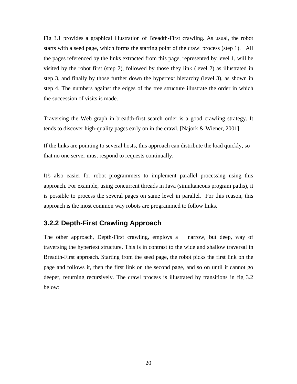Fig 3.1 provides a graphical illustration of Breadth-First crawling. As usual, the robot starts with a seed page, which forms the starting point of the crawl process (step 1). All the pages referenced by the links extracted from this page, represented by level 1, will be visited by the robot first (step 2), followed by those they link (level 2) as illustrated in step 3, and finally by those further down the hypertext hierarchy (level 3), as shown in step 4. The numbers against the edges of the tree structure illustrate the order in which the succession of visits is made.

Traversing the Web graph in breadth-first search order is a good crawling strategy. It tends to discover high-quality pages early on in the crawl. [Najork & Wiener, 2001]

If the links are pointing to several hosts, this approach can distribute the load quickly, so that no one server must respond to requests continually.

It's also easier for robot programmers to implement parallel processing using this approach. For example, using concurrent threads in Java (simultaneous program paths), it is possible to process the several pages on same level in parallel. For this reason, this approach is the most common way robots are programmed to follow links.

### **3.2.2 Depth-First Crawling Approach**

The other approach, Depth-First crawling, employs a narrow, but deep, way of traversing the hypertext structure. This is in contrast to the wide and shallow traversal in Breadth-First approach. Starting from the seed page, the robot picks the first link on the page and follows it, then the first link on the second page, and so on until it cannot go deeper, returning recursively. The crawl process is illustrated by transitions in fig 3.2 below: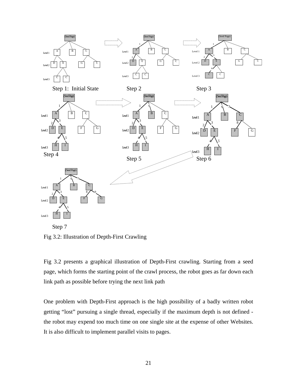

Step 7

Fig 3.2: Illustration of Depth-First Crawling

Fig 3.2 presents a graphical illustration of Depth-First crawling. Starting from a seed page, which forms the starting point of the crawl process, the robot goes as far down each link path as possible before trying the next link path

One problem with Depth-First approach is the high possibility of a badly written robot getting "lost" pursuing a single thread, especially if the maximum depth is not defined the robot may expend too much time on one single site at the expense of other Websites. It is also difficult to implement parallel visits to pages.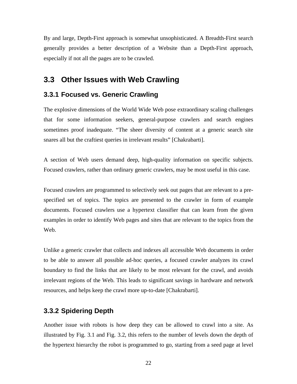By and large, Depth-First approach is somewhat unsophisticated. A Breadth-First search generally provides a better description of a Website than a Depth-First approach, especially if not all the pages are to be crawled.

### **3.3 Other Issues with Web Crawling**

#### **3.3.1 Focused vs. Generic Crawling**

The explosive dimensions of the World Wide Web pose extraordinary scaling challenges that for some information seekers, general-purpose crawlers and search engines sometimes proof inadequate. "The sheer diversity of content at a generic search site snares all but the craftiest queries in irrelevant results" [Chakrabarti].

A section of Web users demand deep, high-quality information on specific subjects. Focused crawlers, rather than ordinary generic crawlers, may be most useful in this case.

Focused crawlers are programmed to selectively seek out pages that are relevant to a prespecified set of topics. The topics are presented to the crawler in form of example documents. Focused crawlers use a hypertext classifier that can learn from the given examples in order to identify Web pages and sites that are relevant to the topics from the Web.

Unlike a generic crawler that collects and indexes all accessible Web documents in order to be able to answer all possible ad-hoc queries, a focused crawler analyzes its crawl boundary to find the links that are likely to be most relevant for the crawl, and avoids irrelevant regions of the Web. This leads to significant savings in hardware and network resources, and helps keep the crawl more up-to-date [Chakrabarti].

#### **3.3.2 Spidering Depth**

Another issue with robots is how deep they can be allowed to crawl into a site. As illustrated by Fig. 3.1 and Fig. 3.2, this refers to the number of levels down the depth of the hypertext hierarchy the robot is programmed to go, starting from a seed page at level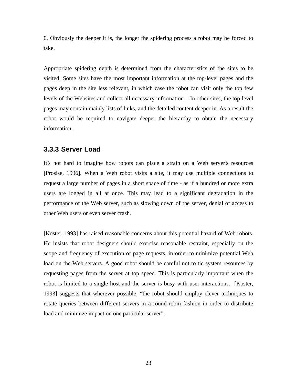0. Obviously the deeper it is, the longer the spidering process a robot may be forced to take.

Appropriate spidering depth is determined from the characteristics of the sites to be visited. Some sites have the most important information at the top-level pages and the pages deep in the site less relevant, in which case the robot can visit only the top few levels of the Websites and collect all necessary information. In other sites, the top-level pages may contain mainly lists of links, and the detailed content deeper in. As a result the robot would be required to navigate deeper the hierarchy to obtain the necessary information.

#### **3.3.3 Server Load**

It's not hard to imagine how robots can place a strain on a Web server's resources [Prosise, 1996]. When a Web robot visits a site, it may use multiple connections to request a large number of pages in a short space of time - as if a hundred or more extra users are logged in all at once. This may lead to a significant degradation in the performance of the Web server, such as slowing down of the server, denial of access to other Web users or even server crash.

[Koster, 1993] has raised reasonable concerns about this potential hazard of Web robots. He insists that robot designers should exercise reasonable restraint, especially on the scope and frequency of execution of page requests, in order to minimize potential Web load on the Web servers. A good robot should be careful not to tie system resources by requesting pages from the server at top speed. This is particularly important when the robot is limited to a single host and the server is busy with user interactions. [Koster, 1993] suggests that wherever possible, "the robot should employ clever techniques to rotate queries between different servers in a round-robin fashion in order to distribute load and minimize impact on one particular server".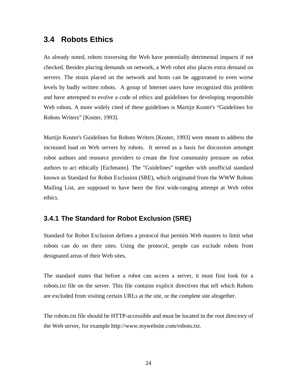# **3.4 Robots Ethics**

As already noted, robots traversing the Web have potentially detrimental impacts if not checked. Besides placing demands on network, a Web robot also places extra demand on servers. The strain placed on the network and hosts can be aggravated to even worse levels by badly written robots. A group of Internet users have recognized this problem and have attempted to evolve a code of ethics and guidelines for developing responsible Web robots. A more widely cited of these guidelines is Martijn Koster's "Guidelines for Robots Writers" [Koster, 1993].

Martijn Koster's Guidelines for Robots Writers [Koster, 1993] were meant to address the increased load on Web servers by robots. It served as a basis for discussion amongst robot authors and resource providers to create the first community pressure on robot authors to act ethically [Eichmann]. The "Guidelines" together with unofficial standard known as Standard for Robot Exclusion (SRE), which originated from the WWW Robots Mailing List, are supposed to have been the first wide-ranging attempt at Web robot ethics.

#### **3.4.1 The Standard for Robot Exclusion (SRE)**

Standard for Robot Exclusion defines a protocol that permits Web masters to limit what robots can do on their sites. Using the protocol, people can exclude robots from designated areas of their Web sites.

The standard states that before a robot can access a server, it must first look for a robots.txt file on the server. This file contains explicit directives that tell which Robots are excluded from visiting certain URLs at the site, or the complete site altogether.

The robots.txt file should be HTTP-accessible and must be located in the root directory of the Web server, for example http://www.mywebsite.com/robots.txt.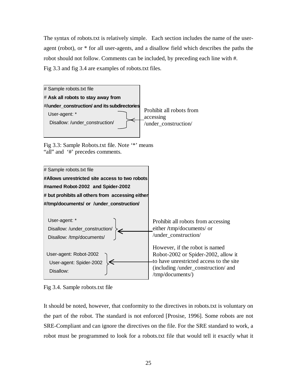The syntax of robots.txt is relatively simple. Each section includes the name of the useragent (robot), or \* for all user-agents, and a disallow field which describes the paths the robot should not follow. Comments can be included, by preceding each line with #. Fig 3.3 and fig 3.4 are examples of robots.txt files.



Fig 3.3: Sample Robots.txt file. Note '\*' means "all" and '#' precedes comments.



Fig 3.4. Sample robots.txt file

It should be noted, however, that conformity to the directives in robots.txt is voluntary on the part of the robot. The standard is not enforced [Prosise, 1996]. Some robots are not SRE-Compliant and can ignore the directives on the file. For the SRE standard to work, a robot must be programmed to look for a robots.txt file that would tell it exactly what it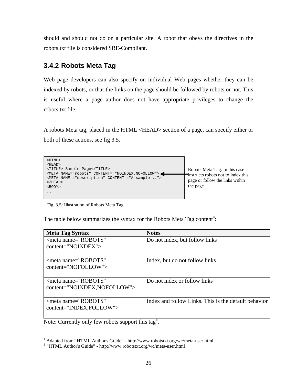should and should not do on a particular site. A robot that obeys the directives in the robots.txt file is considered SRE-Compliant.

# **3.4.2 Robots Meta Tag**

Web page developers can also specify on individual Web pages whether they can be indexed by robots, or that the links on the page should be followed by robots or not. This is useful where a page author does not have appropriate privileges to change the robots.txt file.

A robots Meta tag, placed in the HTML <HEAD> section of a page, can specify either or both of these actions, see fig 3.5.



Fig. 3.5: Illustration of Robots Meta Tag

The table below summarizes the syntax for the Robots Meta Tag content<sup>4</sup>:

| <b>Meta Tag Syntax</b>        | <b>Notes</b>                                         |
|-------------------------------|------------------------------------------------------|
| $\leq$ meta name="ROBOTS"     | Do not index, but follow links                       |
| $content="NONDEX"$            |                                                      |
|                               |                                                      |
| $\leq$ meta name="ROBOTS"     | Index, but do not follow links                       |
| $content="NOTEOLLOW"$         |                                                      |
|                               |                                                      |
| $\epsilon$ meta name="ROBOTS" | Do not index or follow links                         |
| content="NOINDEX, NOFOLLOW">  |                                                      |
|                               |                                                      |
| $\leq$ meta name="ROBOTS"     | Index and follow Links. This is the default behavior |
| content="INDEX,FOLLOW">       |                                                      |
|                               |                                                      |

Note: Currently only few robots support this tag<sup>5</sup>.

 $\overline{a}$ <sup>4</sup> Adapted from" HTML Author's Guide" - http://www.robotstxt.org/wc/meta-user.html

<sup>&</sup>lt;sup>5</sup> "HTML Author's Guide" - http://www.robotstxt.org/wc/meta-user.html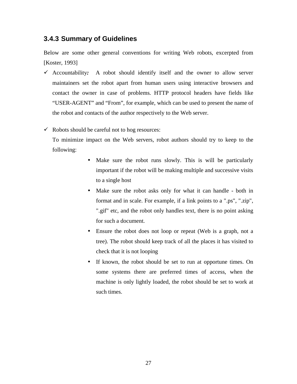### **3.4.3 Summary of Guidelines**

Below are some other general conventions for writing Web robots, excerpted from [Koster, 1993]

 $\checkmark$  Accountability: A robot should identify itself and the owner to allow server maintainers set the robot apart from human users using interactive browsers and contact the owner in case of problems. HTTP protocol headers have fields like "USER-AGENT" and "From", for example, which can be used to present the name of the robot and contacts of the author respectively to the Web server.

 $\checkmark$  Robots should be careful not to hog resources:

To minimize impact on the Web servers, robot authors should try to keep to the following:

- Make sure the robot runs slowly. This is will be particularly important if the robot will be making multiple and successive visits to a single host
- Make sure the robot asks only for what it can handle both in format and in scale. For example, if a link points to a ".ps", ".zip", ".gif" etc, and the robot only handles text, there is no point asking for such a document.
- Ensure the robot does not loop or repeat (Web is a graph, not a tree). The robot should keep track of all the places it has visited to check that it is not looping
- If known, the robot should be set to run at opportune times. On some systems there are preferred times of access, when the machine is only lightly loaded, the robot should be set to work at such times.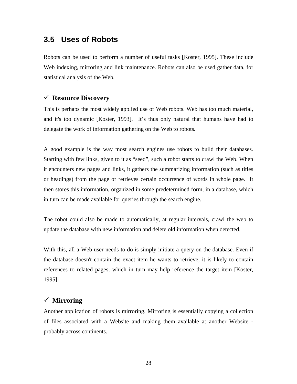## **3.5 Uses of Robots**

Robots can be used to perform a number of useful tasks [Koster, 1995]. These include Web indexing, mirroring and link maintenance. Robots can also be used gather data, for statistical analysis of the Web.

#### <sup>9</sup> **Resource Discovery**

This is perhaps the most widely applied use of Web robots. Web has too much material, and it's too dynamic [Koster, 1993]. It's thus only natural that humans have had to delegate the work of information gathering on the Web to robots.

A good example is the way most search engines use robots to build their databases. Starting with few links, given to it as "seed", such a robot starts to crawl the Web. When it encounters new pages and links, it gathers the summarizing information (such as titles or headings) from the page or retrieves certain occurrence of words in whole page. It then stores this information, organized in some predetermined form, in a database, which in turn can be made available for queries through the search engine.

The robot could also be made to automatically, at regular intervals, crawl the web to update the database with new information and delete old information when detected.

With this, all a Web user needs to do is simply initiate a query on the database. Even if the database doesn't contain the exact item he wants to retrieve, it is likely to contain references to related pages, which in turn may help reference the target item [Koster, 1995].

#### <sup>9</sup> **Mirroring**

Another application of robots is mirroring. Mirroring is essentially copying a collection of files associated with a Website and making them available at another Website probably across continents.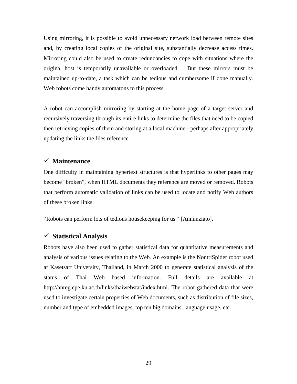Using mirroring, it is possible to avoid unnecessary network load between remote sites and, by creating local copies of the original site, substantially decrease access times. Mirroring could also be used to create redundancies to cope with situations where the original host is temporarily unavailable or overloaded. But these mirrors must be maintained up-to-date, a task which can be tedious and cumbersome if done manually. Web robots come handy automatons to this process.

A robot can accomplish mirroring by starting at the home page of a target server and recursively traversing through its entire links to determine the files that need to be copied then retrieving copies of them and storing at a local machine - perhaps after appropriately updating the links the files reference.

#### <sup>9</sup> **Maintenance**

One difficulty in maintaining hypertext structures is that hyperlinks to other pages may become "broken", when HTML documents they reference are moved or removed. Robots that perform automatic validation of links can be used to locate and notify Web authors of these broken links.

"Robots can perform lots of tedious housekeeping for us " [Annunziato].

#### <sup>9</sup> **Statistical Analysis**

Robots have also been used to gather statistical data for quantitative measurements and analysis of various issues relating to the Web. An example is the NontriSpider robot used at Kasetsart University, Thailand, in March 2000 to generate statistical analysis of the status of Thai Web based information. Full details are available at http://anreg.cpe.ku.ac.th/links/thaiwebstat/index.html. The robot gathered data that were used to investigate certain properties of Web documents, such as distribution of file sizes, number and type of embedded images, top ten big domains, language usage, etc.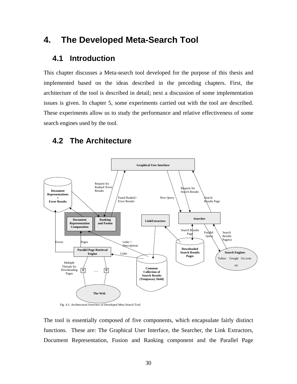# **4. The Developed Meta-Search Tool**

# **4.1 Introduction**

This chapter discusses a Meta-search tool developed for the purpose of this thesis and implemented based on the ideas described in the preceding chapters. First, the architecture of the tool is described in detail; next a discussion of some implementation issues is given. In chapter 5, some experiments carried out with the tool are described. These experiments allow us to study the performance and relative effectiveness of some search engines used by the tool.

# **4.2 The Architecture**



Fig. 4.1: Architectural Overview of Developed Meta Search Tool

The tool is essentially composed of five components, which encapsulate fairly distinct functions. These are: The Graphical User Interface, the Searcher, the Link Extractors, Document Representation, Fusion and Ranking component and the Parallel Page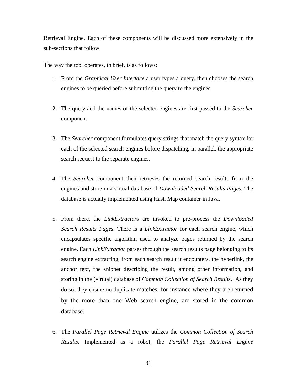Retrieval Engine. Each of these components will be discussed more extensively in the sub-sections that follow.

The way the tool operates, in brief, is as follows:

- 1. From the *Graphical User Interface* a user types a query, then chooses the search engines to be queried before submitting the query to the engines
- 2. The query and the names of the selected engines are first passed to the *Searcher* component
- 3. The *Searcher* component formulates query strings that match the query syntax for each of the selected search engines before dispatching, in parallel, the appropriate search request to the separate engines.
- 4. The *Searcher* component then retrieves the returned search results from the engines and store in a virtual database of *Downloaded Search Results Pages*. The database is actually implemented using Hash Map container in Java.
- 5. From there, the *LinkExtractors* are invoked to pre-process the *Downloaded Search Results Pages*. There is a *LinkExtractor* for each search engine, which encapsulates specific algorithm used to analyze pages returned by the search engine. Each *LinkExtractor* parses through the search results page belonging to its search engine extracting, from each search result it encounters, the hyperlink, the anchor text, the snippet describing the result, among other information, and storing in the (virtual) database of *Common Collection of Search Results*. As they do so, they ensure no duplicate matches, for instance where they are returned by the more than one Web search engine, are stored in the common database.
- 6. The *Parallel Page Retrieval Engine* utilizes the *Common Collection of Search Results*. Implemented as a robot, the *Parallel Page Retrieval Engine*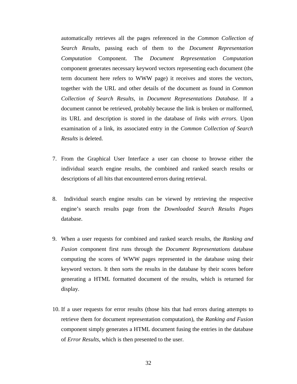automatically retrieves all the pages referenced in the *Common Collection of Search Results*, passing each of them to the *Document Representation Computation* Component. The *Document Representation Computation* component generates necessary keyword vectors representing each document (the term document here refers to WWW page) it receives and stores the vectors, together with the URL and other details of the document as found in *Common Collection of Search Results*, in *Document Representations Database*. If a document cannot be retrieved, probably because the link is broken or malformed, its URL and description is stored in the database of *links with errors*. Upon examination of a link, its associated entry in the *Common Collection of Search Results* is deleted.

- 7. From the Graphical User Interface a user can choose to browse either the individual search engine results, the combined and ranked search results or descriptions of all hits that encountered errors during retrieval.
- 8. Individual search engine results can be viewed by retrieving the respective engine's search results page from the *Downloaded Search Results Pages* database.
- 9. When a user requests for combined and ranked search results, the *Ranking and Fusion* component first runs through the *Document Representations* database computing the scores of WWW pages represented in the database using their keyword vectors. It then sorts the results in the database by their scores before generating a HTML formatted document of the results, which is returned for display.
- 10. If a user requests for error results (those hits that had errors during attempts to retrieve them for document representation computation), the *Ranking and Fusion* component simply generates a HTML document fusing the entries in the database of *Error Results*, which is then presented to the user.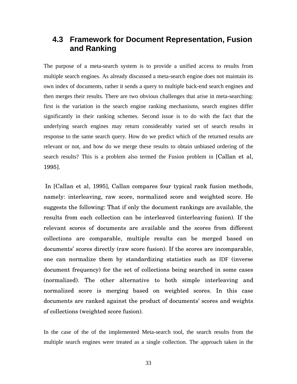# **4.3 Framework for Document Representation, Fusion and Ranking**

The purpose of a meta-search system is to provide a unified access to results from multiple search engines. As already discussed a meta-search engine does not maintain its own index of documents, rather it sends a query to multiple back-end search engines and then merges their results. There are two obvious challenges that arise in meta-searching: first is the variation in the search engine ranking mechanisms, search engines differ significantly in their ranking schemes. Second issue is to do with the fact that the underlying search engines may return considerably varied set of search results in response to the same search query. How do we predict which of the returned results are relevant or not, and how do we merge these results to obtain unbiased ordering of the search results? This is a problem also termed the Fusion problem in [Callan et al, 1995].

In [Callan et al, 1995], Callan compares four typical rank fusion methods, namely: interleaving, raw score, normalized score and weighted score. He suggests the following: That if only the document rankings are available, the results from each collection can be interleaved (interleaving fusion). If the relevant scores of documents are available and the scores from different collections are comparable, multiple results can be merged based on documents' scores directly (raw score fusion). If the scores are incomparable, one can normalize them by standardizing statistics such as IDF (inverse document frequency) for the set of collections being searched in some cases (normalized). The other alternative to both simple interleaving and normalized score is merging based on weighted scores. In this case documents are ranked against the product of documents' scores and weights of collections (weighted score fusion).

In the case of the of the implemented Meta-search tool, the search results from the multiple search engines were treated as a single collection. The approach taken in the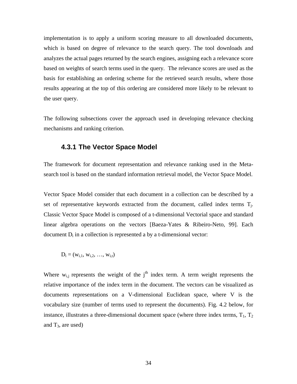implementation is to apply a uniform scoring measure to all downloaded documents, which is based on degree of relevance to the search query. The tool downloads and analyzes the actual pages returned by the search engines, assigning each a relevance score based on weights of search terms used in the query. The relevance scores are used as the basis for establishing an ordering scheme for the retrieved search results, where those results appearing at the top of this ordering are considered more likely to be relevant to the user query.

The following subsections cover the approach used in developing relevance checking mechanisms and ranking criterion.

### **4.3.1 The Vector Space Model**

The framework for document representation and relevance ranking used in the Metasearch tool is based on the standard information retrieval model, the Vector Space Model.

Vector Space Model consider that each document in a collection can be described by a set of representative keywords extracted from the document, called index terms  $T_j$ . Classic Vector Space Model is composed of a t-dimensional Vectorial space and standard linear algebra operations on the vectors [Baeza-Yates & Ribeiro-Neto, 99]. Each document  $D_i$  in a collection is represented a by a t-dimensional vector:

$$
D_i = (w_{i,1},\, w_{i,2},\, ..., \, w_{i,t})
$$

Where  $w_{i,j}$  represents the weight of the  $j<sup>th</sup>$  index term. A term weight represents the relative importance of the index term in the document. The vectors can be visualized as documents representations on a V-dimensional Euclidean space, where V is the vocabulary size (number of terms used to represent the documents). Fig. 4.2 below, for instance, illustrates a three-dimensional document space (where three index terms,  $T_1$ ,  $T_2$ and  $T_3$ , are used)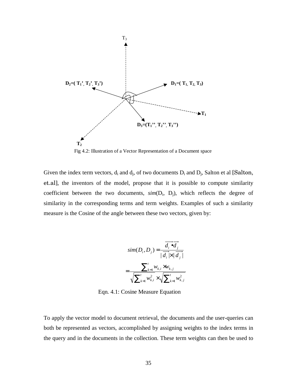

Fig 4.2: Illustration of a Vector Representation of a Document space

Given the index term vectors,  $d_i$  and  $d_j$ , of two documents  $D_i$  and  $D_j$ , Salton et al [Salton, et.al], the inventors of the model, propose that it is possible to compute similarity coefficient between the two documents,  $sim(D<sub>i</sub>, D<sub>j</sub>)$ , which reflects the degree of similarity in the corresponding terms and term weights. Examples of such a similarity measure is the Cosine of the angle between these two vectors, given by:

$$
sim(D_i, D_j) = \frac{\overrightarrow{d_i \bullet d_j}}{|\overrightarrow{d_i} \times |\overrightarrow{d_j}|}
$$

$$
= \frac{\sum_{k=1}^{t} w_{k,i} \times w_{k,j}}{\sqrt{\sum_{k=1}^{t} w_{k,i}^2} \times \sqrt{\sum_{k=1}^{t} w_{k,j}^2}}
$$

Eqn. 4.1: Cosine Measure Equation

To apply the vector model to document retrieval, the documents and the user-queries can both be represented as vectors, accomplished by assigning weights to the index terms in the query and in the documents in the collection. These term weights can then be used to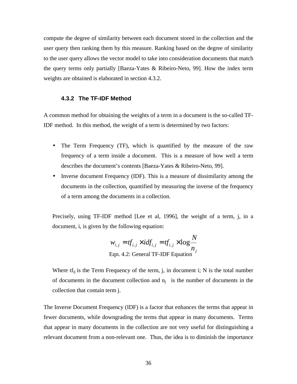compute the degree of similarity between each document stored in the collection and the user query then ranking them by this measure. Ranking based on the degree of similarity to the user query allows the vector model to take into consideration documents that match the query terms only partially [Baeza-Yates & Ribeiro-Neto, 99]. How the index term weights are obtained is elaborated in section 4.3.2.

#### **4.3.2 The TF-IDF Method**

A common method for obtaining the weights of a term in a document is the so-called TF-IDF method. In this method, the weight of a term is determined by two factors:

- The Term Frequency (TF), which is quantified by the measure of the raw frequency of a term inside a document. This is a measure of how well a term describes the document's contents [Baeza-Yates & Ribeiro-Neto, 99].
- Inverse document Frequency (IDF). This is a measure of dissimilarity among the documents in the collection, quantified by measuring the inverse of the frequency of a term among the documents in a collection.

Precisely, using TF-IDF method [Lee et al, 1996], the weight of a term, j, in a document, i, is given by the following equation:

$$
w_{i,j} = tf_{i,j} \times idf_{i,j} = tf_{i,j} \times \log \frac{N}{n_j}
$$
  
Eqn. 4.2: General TF-IDF Equation

Where  $tf_{ij}$  is the Term Frequency of the term, j, in document i; N is the total number of documents in the document collection and  $n_i$  is the number of documents in the collection that contain term j.

The Inverse Document Frequency (IDF) is a factor that enhances the terms that appear in fewer documents, while downgrading the terms that appear in many documents. Terms that appear in many documents in the collection are not very useful for distinguishing a relevant document from a non-relevant one. Thus, the idea is to diminish the importance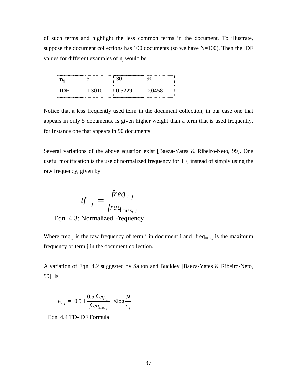of such terms and highlight the less common terms in the document. To illustrate, suppose the document collections has 100 documents (so we have  $N=100$ ). Then the IDF values for different examples of  $n_i$  would be:

| -IDF | 1 3010 | በ 5229 | 0.0458 |  |  |
|------|--------|--------|--------|--|--|

Notice that a less frequently used term in the document collection, in our case one that appears in only 5 documents, is given higher weight than a term that is used frequently, for instance one that appears in 90 documents.

Several variations of the above equation exist [Baeza-Yates & Ribeiro-Neto, 99]. One useful modification is the use of normalized frequency for TF, instead of simply using the raw frequency, given by:

$$
tf_{i,j} = \frac{freq_{i,j}}{freq_{\text{max},j}}
$$

Eqn. 4.3: Normalized Frequency

Where freq<sub>i,j</sub> is the raw frequency of term j in document i and freq<sub>max,j</sub> is the maximum frequency of term j in the document collection.

A variation of Eqn. 4.2 suggested by Salton and Buckley [Baeza-Yates & Ribeiro-Neto, 99], is

$$
w_{i,j} = \left(0.5 + \frac{0.5 \text{freq}_{i,j}}{\text{freq}_{\text{max},j}}\right) \times \log \frac{N}{n_j}
$$

Eqn. 4.4 TD-IDF Formula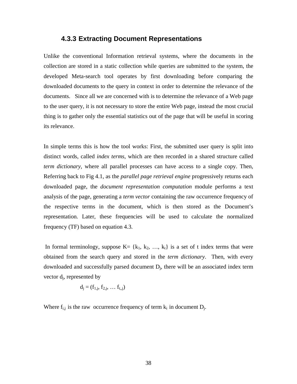#### **4.3.3 Extracting Document Representations**

Unlike the conventional Information retrieval systems, where the documents in the collection are stored in a static collection while queries are submitted to the system, the developed Meta-search tool operates by first downloading before comparing the downloaded documents to the query in context in order to determine the relevance of the documents. Since all we are concerned with is to determine the relevance of a Web page to the user query, it is not necessary to store the entire Web page, instead the most crucial thing is to gather only the essential statistics out of the page that will be useful in scoring its relevance.

In simple terms this is how the tool works: First, the submitted user query is split into distinct words, called *index terms*, which are then recorded in a shared structure called *term dictionary,* where all parallel processes can have access to a single copy. Then, Referring back to Fig 4.1, as the *parallel page retrieval engine* progressively returns each downloaded page, the *document representation computation* module performs a text analysis of the page, generating a *term vector* containing the raw occurrence frequency of the respective terms in the document, which is then stored as the Document's representation. Later, these frequencies will be used to calculate the normalized frequency (TF) based on equation 4.3.

In formal terminology, suppose  $K = \{k_1, k_2, ..., k_t\}$  is a set of t index terms that were obtained from the search query and stored in the *term dictionary*. Then, with every downloaded and successfully parsed document D<sub>j</sub>, there will be an associated index term vector  $d_j$ , represented by

$$
d_j = (f_{1,j}, f_{2,j}, \dots f_{t,j})
$$

Where  $f_{i,j}$  is the raw occurrence frequency of term  $k_i$  in document  $D_j$ .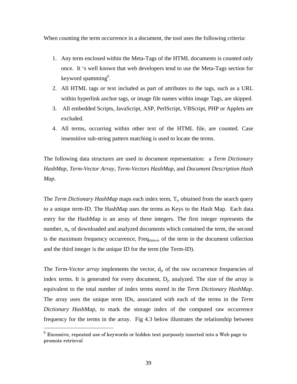When counting the term occurrence in a document, the tool uses the following criteria:

- 1. Any term enclosed within the Meta-Tags of the HTML documents is counted only once. It 's well known that web developers tend to use the Meta-Tags section for keyword spamming 6 .
- 2. All HTML tags or text included as part of attributes to the tags, such as a URL within hyperlink anchor tags, or image file names within image Tags, are skipped.
- 3. All embedded Scripts, JavaScript, ASP, PerlScript, VBScript, PHP or Applets are excluded.
- 4. All terms, occurring within other text of the HTML file, are counted. Case insensitive sub-string pattern matching is used to locate the terms.

The following data structures are used in document representation: a *Term Dictionary HashMap*, *Term-Vector Array*, *Term-Vectors HashMap*, and *Document Description Hash Map*.

The *Term Dictionary HashMap* maps each index term, T<sub>i</sub>, obtained from the search query to a unique term-ID. The HashMap uses the terms as Keys to the Hash Map. Each data entry for the HashMap is an array of three integers. The first integer represents the number, n<sub>i</sub>, of downloaded and analyzed documents which contained the term, the second is the maximum frequency occurrence,  $Freq_{max,i}$ , of the term in the document collection and the third integer is the unique ID for the term (the Term-ID).

The *Term-Vector array* implements the vector, d<sub>j</sub>, of the raw occurrence frequencies of index terms. It is generated for every document,  $D_j$ , analyzed. The size of the array is equivalent to the total number of index terms stored in the *Term Dictionary HashMap*. The array uses the unique term IDs, associated with each of the terms in the *Term Dictionary HashMap*, to mark the storage index of the computed raw occurrence frequency for the terms in the array. Fig 4.3 below illustrates the relationship between

 6 Excessive, repeated use of keywords or hidden text purposely inserted into a Web page to promote retrieval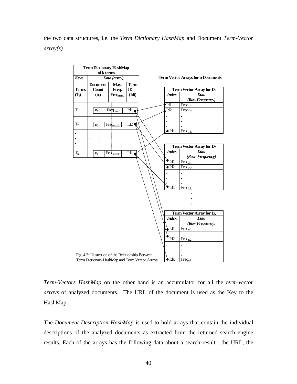the two data structures, i.e. the *Term Dictionary HashMap* and Document *Term-Vector array(s).*



*Term-Vectors HashMap* on the other hand is an accumulator for all the *term-vector arrays* of analyzed documents. The URL of the document is used as the Key to the HashMap.

The *Document Description HashMap* is used to hold arrays that contain the individual descriptions of the analyzed documents as extracted from the returned search engine results. Each of the arrays has the following data about a search result: the URL, the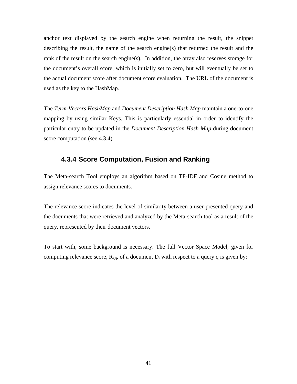anchor text displayed by the search engine when returning the result, the snippet describing the result, the name of the search engine(s) that returned the result and the rank of the result on the search engine(s). In addition, the array also reserves storage for the document's overall score, which is initially set to zero, but will eventually be set to the actual document score after document score evaluation. The URL of the document is used as the key to the HashMap.

The *Term-Vectors HashMap* and *Document Description Hash Map* maintain a one-to-one mapping by using similar Keys. This is particularly essential in order to identify the particular entry to be updated in the *Document Description Hash Map* during document score computation (see 4.3.4).

#### **4.3.4 Score Computation, Fusion and Ranking**

The Meta-search Tool employs an algorithm based on TF-IDF and Cosine method to assign relevance scores to documents.

The relevance score indicates the level of similarity between a user presented query and the documents that were retrieved and analyzed by the Meta-search tool as a result of the query, represented by their document vectors.

To start with, some background is necessary. The full Vector Space Model, given for computing relevance score,  $R_{i,q}$ , of a document  $D_i$  with respect to a query q is given by: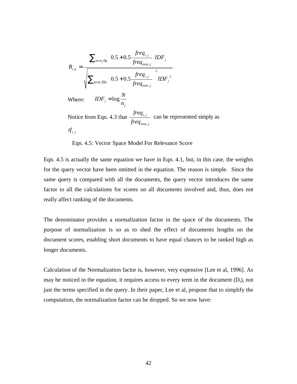$$
R_{i,q} = \frac{\sum_{\substack{\text{term}_j \in q}} \left( 0.5 + 0.5 \frac{\text{freq}_{i,j}}{\text{freq}_{\text{max},j}} \right) DF_j}{\sqrt{\sum_{\substack{\text{term}_j \in D_i}} \left( 0.5 + 0.5 \frac{\text{freq}_{i,j}}{\text{freq}_{\text{max},j}} \right)^2 IDF_j^2}}
$$
\nWhere: 
$$
IDF_j = \log \frac{N}{n_j}
$$

\nNotice from Eqn. 4.3 that 
$$
\frac{\text{freq}_{i,j}}{\text{freq}_{\text{max},j}}
$$
 can be represented simply as

\n
$$
tf_{i,j}
$$

Eqn. 4.5: Vector Space Model For Relevance Score

Eqn. 4.5 is actually the same equation we have in Eqn. 4.1, but, in this case, the weights for the query vector have been omitted in the equation. The reason is simple. Since the same query is compared with all the documents, the query vector introduces the same factor to all the calculations for scores on all documents involved and, thus, does not really affect ranking of the documents.

The denominator provides a normalization factor in the space of the documents. The purpose of normalization is so as to shed the effect of documents lengths on the document scores, enabling short documents to have equal chances to be ranked high as longer documents.

Calculation of the Normalization factor is, however, very expensive [Lee et al, 1996]. As may be noticed in the equation, it requires access to every term in the document  $(D_i)$ , not just the terms specified in the query. In their paper, Lee et al, propose that to simplify the computation, the normalization factor can be dropped. So we now have: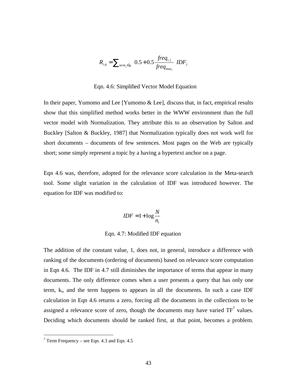$$
R_{i,q} = \sum_{\text{term}_j \in q} \left( 0.5 + 0.5 \frac{\text{freq}_{i,j}}{\text{freq}_{\text{max}_i}} \right) D F_j
$$

Eqn. 4.6: Simplified Vector Model Equation

In their paper, Yumomo and Lee [Yumomo & Lee], discuss that, in fact, empirical results show that this simplified method works better in the WWW environment than the full vector model with Normalization. They attribute this to an observation by Salton and Buckley [Salton & Buckley, 1987] that Normalization typically does not work well for short documents – documents of few sentences. Most pages on the Web are typically short; some simply represent a topic by a having a hypertext anchor on a page.

Eqn 4.6 was, therefore, adopted for the relevance score calculation in the Meta-search tool. Some slight variation in the calculation of IDF was introduced however. The equation for IDF was modified to:

$$
IDF = 1 + \log \frac{N}{n_i}
$$

Eqn. 4.7: Modified IDF equation

The addition of the constant value, 1, does not, in general, introduce a difference with ranking of the documents (ordering of documents) based on relevance score computation in Eqn 4.6. The IDF in 4.7 still diminishes the importance of terms that appear in many documents. The only difference comes when a user presents a query that has only one term,  $k_i$ , and the term happens to appears in all the documents. In such a case IDF calculation in Eqn 4.6 returns a zero, forcing all the documents in the collections to be assigned a relevance score of zero, though the documents may have varied  $TF^7$  values. Deciding which documents should be ranked first, at that point, becomes a problem.

 $\overline{a}$ 

 $7$  Term Frequency – see Eqn. 4.3 and Eqn. 4.5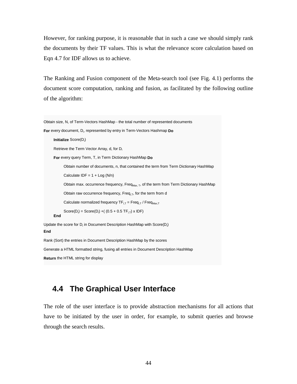However, for ranking purpose, it is reasonable that in such a case we should simply rank the documents by their TF values. This is what the relevance score calculation based on Eqn 4.7 for IDF allows us to achieve.

The Ranking and Fusion component of the Meta-search tool (see Fig. 4.1) performs the document score computation, ranking and fusion, as facilitated by the following outline of the algorithm:

```
Obtain size, N, of Term-Vectors HashMap - the total number of represented documents
For every document, D<sub>i</sub>, represented by entry in Term-Vectors Hashmap Do
      Initialize Score(D<sub>i</sub>)
      Retrieve the Term Vector Array, d, for D<sub>i</sub>
      For every query Term, T, in Term Dictionary HashMap Do
            Obtain number of documents, n, that contained the term from Term Dictionary HashMap
            Calculate IDF = 1 + Log (N/n)Obtain max. occurrence frequency, Freq<sub>Max, T</sub>, of the term from Term Dictionary HashMap
            Obtain raw occurrence frequency, Freq_{i,T}, for the term from d
            Calculate normalized frequency TF_{i,T} = Freq_{i,T} / Freq_{\text{Max,T}}Score(D_i) = Score(D_i) + (0.5 + 0.5 TF_{i,T}) \times IDF)End
Update the score for D<sub>i</sub> in Document Description HashMap with Score(D<sub>i</sub>)
End
Rank (Sort) the entries in Document Description HashMap by the scores
Generate a HTML formatted string, fusing all entries in Document Description HashMap
Return the HTML string for display
```
# **4.4 The Graphical User Interface**

The role of the user interface is to provide abstraction mechanisms for all actions that have to be initiated by the user in order, for example, to submit queries and browse through the search results.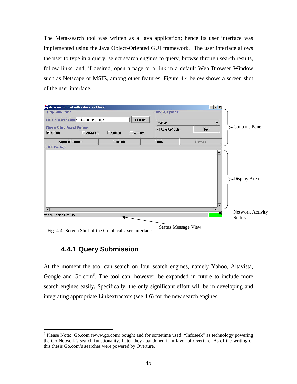The Meta-search tool was written as a Java application; hence its user interface was implemented using the Java Object-Oriented GUI framework. The user interface allows the user to type in a query, select search engines to query, browse through search results, follow links, and, if desired, open a page or a link in a default Web Browser Window such as Netscape or MSIE, among other features. Figure 4.4 below shows a screen shot of the user interface.



Fig. 4.4: Screen Shot of the Graphical User Interface

#### **4.4.1 Query Submission**

 $\overline{a}$ 

At the moment the tool can search on four search engines, namely Yahoo, Altavista, Google and Go.com<sup>8</sup>. The tool can, however, be expanded in future to include more search engines easily. Specifically, the only significant effort will be in developing and integrating appropriate Linkextractors (see 4.6) for the new search engines.

<sup>&</sup>lt;sup>8</sup> Please Note: Go.com (www.go.com) bought and for sometime used "Infoseek" as technology powering the Go Network's search functionality. Later they abandoned it in favor of Overture. As of the writing of this thesis Go.com's searches were powered by Overture.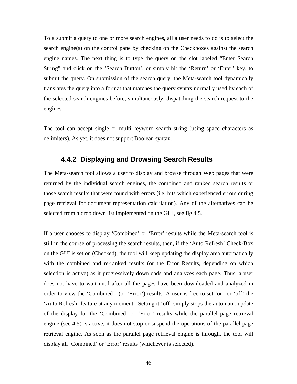To a submit a query to one or more search engines, all a user needs to do is to select the search engine(s) on the control pane by checking on the Checkboxes against the search engine names. The next thing is to type the query on the slot labeled "Enter Search String" and click on the 'Search Button', or simply hit the 'Return' or 'Enter' key, to submit the query. On submission of the search query, the Meta-search tool dynamically translates the query into a format that matches the query syntax normally used by each of the selected search engines before, simultaneously, dispatching the search request to the engines.

The tool can accept single or multi-keyword search string (using space characters as delimiters). As yet, it does not support Boolean syntax.

#### **4.4.2 Displaying and Browsing Search Results**

The Meta-search tool allows a user to display and browse through Web pages that were returned by the individual search engines, the combined and ranked search results or those search results that were found with errors (i.e. hits which experienced errors during page retrieval for document representation calculation). Any of the alternatives can be selected from a drop down list implemented on the GUI, see fig 4.5.

If a user chooses to display 'Combined' or 'Error' results while the Meta-search tool is still in the course of processing the search results, then, if the 'Auto Refresh' Check-Box on the GUI is set on (Checked), the tool will keep updating the display area automatically with the combined and re-ranked results (or the Error Results, depending on which selection is active) as it progressively downloads and analyzes each page. Thus, a user does not have to wait until after all the pages have been downloaded and analyzed in order to view the 'Combined' (or 'Error') results. A user is free to set 'on' or 'off' the 'Auto Refresh' feature at any moment. Setting it 'off' simply stops the automatic update of the display for the 'Combined' or 'Error' results while the parallel page retrieval engine (see 4.5) is active, it does not stop or suspend the operations of the parallel page retrieval engine. As soon as the parallel page retrieval engine is through, the tool will display all 'Combined' or 'Error' results (whichever is selected).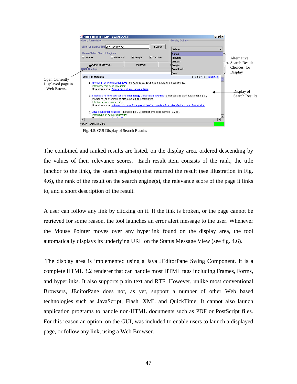

Fig. 4.5: GUI Display of Search Results

The combined and ranked results are listed, on the display area, ordered descending by the values of their relevance scores. Each result item consists of the rank, the title (anchor to the link), the search engine(s) that returned the result (see illustration in Fig. 4.6), the rank of the result on the search engine(s), the relevance score of the page it links to, and a short description of the result.

A user can follow any link by clicking on it. If the link is broken, or the page cannot be retrieved for some reason, the tool launches an error alert message to the user. Whenever the Mouse Pointer moves over any hyperlink found on the display area, the tool automatically displays its underlying URL on the Status Message View (see fig. 4.6).

The display area is implemented using a Java JEditorPane Swing Component. It is a complete HTML 3.2 renderer that can handle most HTML tags including Frames, Forms, and hyperlinks. It also supports plain text and RTF. However, unlike most conventional Browsers, JEditorPane does not, as yet, support a number of other Web based technologies such as JavaScript, Flash, XML and QuickTime. It cannot also launch application programs to handle non-HTML documents such as PDF or PostScript files. For this reason an option, on the GUI, was included to enable users to launch a displayed page, or follow any link, using a Web Browser.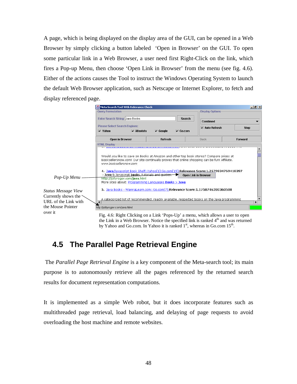A page, which is being displayed on the display area of the GUI, can be opened in a Web Browser by simply clicking a button labeled 'Open in Browser' on the GUI. To open some particular link in a Web Browser, a user need first Right-Click on the link, which fires a Pop-up Menu, then choose 'Open Link in Browser' from the menu (see fig. 4.6). Either of the actions causes the Tool to instruct the Windows Operating System to launch the default Web Browser application, such as Netscape or Internet Explorer, to fetch and display referenced page.

|                                                                                                                                                                                                                                                                                                                                                                                                                                                                                                                                                                                       | Meta Search Tool With Relevance Check                                                         |                |               |                        | $   \times$ |  |  |
|---------------------------------------------------------------------------------------------------------------------------------------------------------------------------------------------------------------------------------------------------------------------------------------------------------------------------------------------------------------------------------------------------------------------------------------------------------------------------------------------------------------------------------------------------------------------------------------|-----------------------------------------------------------------------------------------------|----------------|---------------|------------------------|-------------|--|--|
|                                                                                                                                                                                                                                                                                                                                                                                                                                                                                                                                                                                       | <b>Query Formulation</b>                                                                      |                |               | <b>Display Options</b> |             |  |  |
|                                                                                                                                                                                                                                                                                                                                                                                                                                                                                                                                                                                       | <b>Enter Search String: Java Books</b>                                                        |                | <b>Search</b> | <b>Combined</b>        |             |  |  |
|                                                                                                                                                                                                                                                                                                                                                                                                                                                                                                                                                                                       | <b>Please Select Search Engines:</b><br>$V$ Yahoo<br>$V$ Altavista                            | $V$ Google     | $V$ Go.com    | $V$ Auto Refresh       | <b>Stop</b> |  |  |
|                                                                                                                                                                                                                                                                                                                                                                                                                                                                                                                                                                                       | <b>Open in Browser</b>                                                                        | <b>Refresh</b> |               | Back                   | Forward     |  |  |
|                                                                                                                                                                                                                                                                                                                                                                                                                                                                                                                                                                                       | <b>HTML Display</b>                                                                           |                |               |                        |             |  |  |
| Would you like to save on Books at Amazon and other top book stores? Compare prices at<br>Booksellersnow.com! Our site continually proves that online shopping can be fun! Affiliate.<br>www.booksellerspow.com<br>4. Java/Javascript Book Shelf::Yahoo[1]:Go.com[15]:Relevance Score:1.2579834769418397<br>- Java & Javascript books, tutorials and quides.<br><b>Open Link in Browser</b><br>Pop-Up Menu<br>http://jollyroger.com/java.html<br>More sites about: Programming Languages Books > Java<br>5. Java Books - WannaLearn.com::Go.com[7]:Relevance Score:1.1758746200360508 |                                                                                               |                |               |                        |             |  |  |
| <b>Status Message View</b><br>Currently shows the $\sim$                                                                                                                                                                                                                                                                                                                                                                                                                                                                                                                              |                                                                                               |                |               |                        |             |  |  |
| URL of the Link with                                                                                                                                                                                                                                                                                                                                                                                                                                                                                                                                                                  | A categorized list of recommended, readily available, respected books on the Java programming |                |               |                        | ١           |  |  |
| the Mouse Pointer                                                                                                                                                                                                                                                                                                                                                                                                                                                                                                                                                                     | http://jollyroger.com/java.html                                                               |                |               |                        |             |  |  |
| over it                                                                                                                                                                                                                                                                                                                                                                                                                                                                                                                                                                               | Fig. 4.6: Right Clicking on a Link 'Pops-Up' a menu, which allows a user to open              |                |               |                        |             |  |  |

Fig. 4.6: Right Clicking on a Link 'Pops-Up' a menu, which allows a user to open the Link in a Web Browser. Notice the specified link is ranked 4<sup>th</sup> and was returned by Yahoo and Go.com. In Yahoo it is ranked  $1<sup>st</sup>$ , whereas in Go.com  $15<sup>th</sup>$ .

# **4.5 The Parallel Page Retrieval Engine**

The *Parallel Page Retrieval Engine* is a key component of the Meta-search tool; its main purpose is to autonomously retrieve all the pages referenced by the returned search results for document representation computations.

It is implemented as a simple Web robot, but it does incorporate features such as multithreaded page retrieval, load balancing, and delaying of page requests to avoid overloading the host machine and remote websites.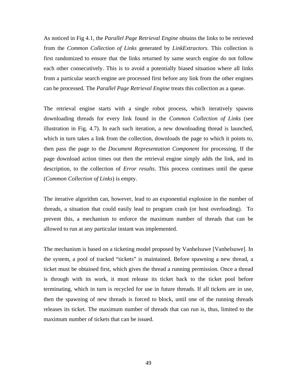As noticed in Fig 4.1, the *Parallel Page Retrieval Engine* obtains the links to be retrieved from the *Common Collection of Links* generated by *LinkExtractors*. This collection is first randomized to ensure that the links returned by same search engine do not follow each other consecutively. This is to avoid a potentially biased situation where all links from a particular search engine are processed first before any link from the other engines can be processed. The *Parallel Page Retrieval Engine* treats this collection as a queue.

The retrieval engine starts with a single robot process, which iteratively spawns downloading threads for every link found in the *Common Collection of Links* (see illustration in Fig. 4.7). In each such iteration, a new downloading thread is launched, which in turn takes a link from the collection, downloads the page to which it points to, then pass the page to the *Document Representation Component* for processing. If the page download action times out then the retrieval engine simply adds the link, and its description, to the collection of *Error results*. This process continues until the queue (*Common Collection of Links*) is empty.

The iterative algorithm can, however, lead to an exponential explosion in the number of threads, a situation that could easily lead to program crash (or host overloading). To prevent this, a mechanism to enforce the maximum number of threads that can be allowed to run at any particular instant was implemented.

The mechanism is based on a ticketing model proposed by Vanhelsuwe [Vanhelsuwe]. In the system, a pool of tracked "tickets" is maintained. Before spawning a new thread, a ticket must be obtained first, which gives the thread a running permission. Once a thread is through with its work, it must release its ticket back to the ticket pool before terminating, which in turn is recycled for use in future threads. If all tickets are in use, then the spawning of new threads is forced to block, until one of the running threads releases its ticket. The maximum number of threads that can run is, thus, limited to the maximum number of tickets that can be issued.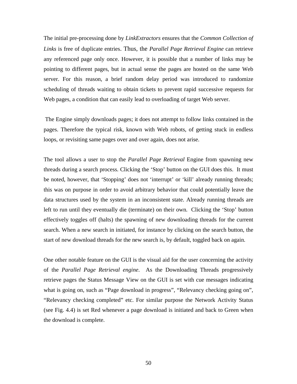The initial pre-processing done by *LinkExtractors* ensures that the *Common Collection of Links* is free of duplicate entries. Thus, the *Parallel Page Retrieval Engine* can retrieve any referenced page only once. However, it is possible that a number of links may be pointing to different pages, but in actual sense the pages are hosted on the same Web server. For this reason, a brief random delay period was introduced to randomize scheduling of threads waiting to obtain tickets to prevent rapid successive requests for Web pages, a condition that can easily lead to overloading of target Web server.

The Engine simply downloads pages; it does not attempt to follow links contained in the pages. Therefore the typical risk, known with Web robots, of getting stuck in endless loops, or revisiting same pages over and over again, does not arise.

The tool allows a user to stop the *Parallel Page Retrieval* Engine from spawning new threads during a search process. Clicking the 'Stop' button on the GUI does this. It must be noted, however, that 'Stopping' does not 'interrupt' or 'kill' already running threads; this was on purpose in order to avoid arbitrary behavior that could potentially leave the data structures used by the system in an inconsistent state. Already running threads are left to run until they eventually die (terminate) on their own. Clicking the 'Stop' button effectively toggles off (halts) the spawning of new downloading threads for the current search. When a new search in initiated, for instance by clicking on the search button, the start of new download threads for the new search is, by default, toggled back on again.

One other notable feature on the GUI is the visual aid for the user concerning the activity of the *Parallel Page Retrieval engine*. As the Downloading Threads progressively retrieve pages the Status Message View on the GUI is set with cue messages indicating what is going on, such as "Page download in progress", "Relevancy checking going on", "Relevancy checking completed" etc. For similar purpose the Network Activity Status (see Fig. 4.4) is set Red whenever a page download is initiated and back to Green when the download is complete.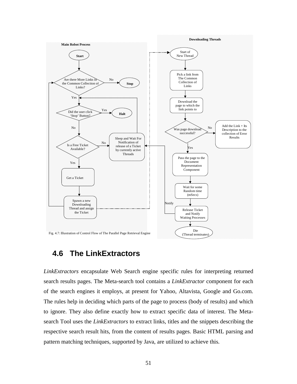

# **4.6 The LinkExtractors**

*LinkExtractors* encapsulate Web Search engine specific rules for interpreting returned search results pages. The Meta-search tool contains a *LinkExtractor* component for each of the search engines it employs, at present for Yahoo, Altavista, Google and Go.com. The rules help in deciding which parts of the page to process (body of results) and which to ignore. They also define exactly how to extract specific data of interest. The Metasearch Tool uses the *LinkExtractors* to extract links, titles and the snippets describing the respective search result hits, from the content of results pages. Basic HTML parsing and pattern matching techniques, supported by Java, are utilized to achieve this.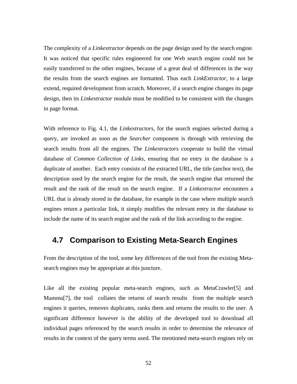The complexity of a *Linkextractor* depends on the page design used by the search engine. It was noticed that specific rules engineered for one Web search engine could not be easily transferred to the other engines, because of a great deal of differences in the way the results from the search engines are formatted. Thus each *LinkExtractor*, to a large extend, required development from scratch. Moreover, if a search engine changes its page design, then its *Linkextractor* module must be modified to be consistent with the changes in page format.

With reference to Fig. 4.1, the *Linkextractors,* for the search engines selected during a query, are invoked as soon as the *Searcher* component is through with retrieving the search results from all the engines. The *Linkextractors* cooperate to build the virtual database of *Common Collection of Links*, ensuring that no entry in the database is a duplicate of another. Each entry consists of the extracted URL, the title (anchor text), the description used by the search engine for the result, the search engine that returned the result and the rank of the result on the search engine. If a *Linkextractor* encounters a URL that is already stored in the database, for example in the case where multiple search engines return a particular link, it simply modifies the relevant entry in the database to include the name of its search engine and the rank of the link according to the engine.

### **4.7 Comparison to Existing Meta-Search Engines**

From the description of the tool, some key differences of the tool from the existing Metasearch engines may be appropriate at this juncture.

Like all the existing popular meta-search engines, such as MetaCrawler<sup>[5]</sup> and Mamma[7], the tool collates the returns of search results from the multiple search engines it queries, removes duplicates, ranks them and returns the results to the user. A significant difference however is the ability of the developed tool to download all individual pages referenced by the search results in order to determine the relevance of results in the context of the query terms used. The mentioned meta-search engines rely on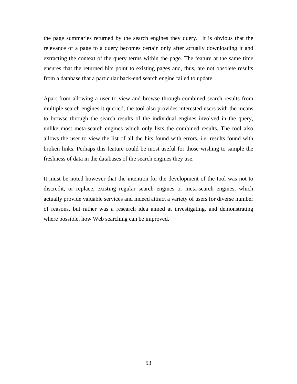the page summaries returned by the search engines they query. It is obvious that the relevance of a page to a query becomes certain only after actually downloading it and extracting the context of the query terms within the page. The feature at the same time ensures that the returned hits point to existing pages and, thus, are not obsolete results from a database that a particular back-end search engine failed to update.

Apart from allowing a user to view and browse through combined search results from multiple search engines it queried, the tool also provides interested users with the means to browse through the search results of the individual engines involved in the query, unlike most meta-search engines which only lists the combined results. The tool also allows the user to view the list of all the hits found with errors, i.e. results found with broken links. Perhaps this feature could be most useful for those wishing to sample the freshness of data in the databases of the search engines they use.

It must be noted however that the intention for the development of the tool was not to discredit, or replace, existing regular search engines or meta-search engines, which actually provide valuable services and indeed attract a variety of users for diverse number of reasons, but rather was a research idea aimed at investigating, and demonstrating where possible, how Web searching can be improved.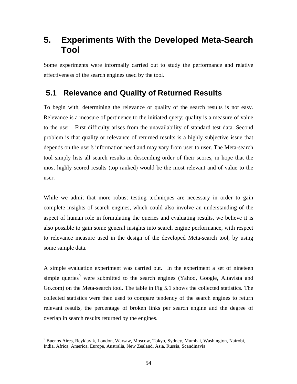# **5. Experiments With the Developed Meta-Search Tool**

Some experiments were informally carried out to study the performance and relative effectiveness of the search engines used by the tool.

# **5.1 Relevance and Quality of Returned Results**

To begin with, determining the relevance or quality of the search results is not easy. Relevance is a measure of pertinence to the initiated query; quality is a measure of value to the user. First difficulty arises from the unavailability of standard test data. Second problem is that quality or relevance of returned results is a highly subjective issue that depends on the user's information need and may vary from user to user. The Meta-search tool simply lists all search results in descending order of their scores, in hope that the most highly scored results (top ranked) would be the most relevant and of value to the user.

While we admit that more robust testing techniques are necessary in order to gain complete insights of search engines, which could also involve an understanding of the aspect of human role in formulating the queries and evaluating results, we believe it is also possible to gain some general insights into search engine performance, with respect to relevance measure used in the design of the developed Meta-search tool, by using some sample data.

A simple evaluation experiment was carried out. In the experiment a set of nineteen simple queries<sup>9</sup> were submitted to the search engines (Yahoo, Google, Altavista and Go.com) on the Meta-search tool. The table in Fig 5.1 shows the collected statistics. The collected statistics were then used to compare tendency of the search engines to return relevant results, the percentage of broken links per search engine and the degree of overlap in search results returned by the engines.

 $\overline{a}$ <sup>9</sup> Buenos Aires, Reykjavik, London, Warsaw, Moscow, Tokyo, Sydney, Mumbai, Washington, Nairobi, India, Africa, America, Europe, Australia, New Zealand, Asia, Russia, Scandinavia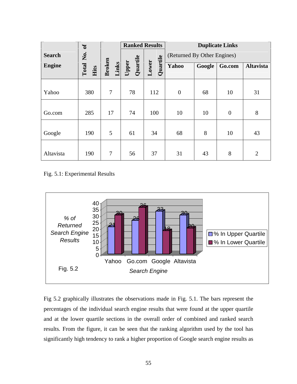|               | $\sigma$ f        |                        | <b>Ranked Results</b> |                   | <b>Duplicate Links</b>      |        |                  |                  |
|---------------|-------------------|------------------------|-----------------------|-------------------|-----------------------------|--------|------------------|------------------|
| <b>Search</b> |                   |                        |                       |                   | (Returned By Other Engines) |        |                  |                  |
| <b>Engine</b> | Total No.<br>Hits | <b>Broken</b><br>Links | Quartile<br>Upper     | Quartile<br>Lower | Yahoo                       | Google | Go.com           | <b>Altavista</b> |
|               |                   |                        |                       |                   |                             |        |                  |                  |
| Yahoo         | 380               | $\overline{7}$         | 78                    | 112               | $\overline{0}$              | 68     | 10               | 31               |
|               |                   |                        |                       |                   |                             |        |                  |                  |
| Go.com        | 285               | 17                     | 74                    | 100               | 10                          | 10     | $\boldsymbol{0}$ | $8\,$            |
|               |                   |                        |                       |                   |                             |        |                  |                  |
| Google        | 190               | 5                      | 61                    | 34                | 68                          | 8      | 10               | 43               |
|               |                   |                        |                       |                   |                             |        |                  |                  |
| Altavista     | 190               | $\overline{7}$         | 56                    | 37                | 31                          | 43     | 8                | $\overline{2}$   |

Fig. 5.1: Experimental Results



Fig 5.2 graphically illustrates the observations made in Fig. 5.1. The bars represent the percentages of the individual search engine results that were found at the upper quartile and at the lower quartile sections in the overall order of combined and ranked search results. From the figure, it can be seen that the ranking algorithm used by the tool has significantly high tendency to rank a higher proportion of Google search engine results as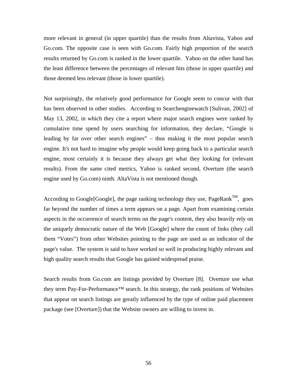more relevant in general (in upper quartile) than the results from Altavista, Yahoo and Go.com. The opposite case is seen with Go.com. Fairly high proportion of the search results returned by Go.com is ranked in the lower quartile. Yahoo on the other hand has the least difference between the percentages of relevant hits (those in upper quartile) and those deemed less relevant (those in lower quartile).

Not surprisingly, the relatively good performance for Google seem to concur with that has been observed in other studies. According to Searchenginewatch [Sulivan, 2002] of May 13, 2002, in which they cite a report where major search engines were ranked by cumulative time spend by users searching for information, they declare, "Google is leading by far over other search engines" – thus making it the most popular search engine. It's not hard to imagine why people would keep going back to a particular search engine, most certainly it is because they always get what they looking for (relevant results). From the same cited metrics, Yahoo is ranked second, Overture (the search engine used by Go.com) ninth. AltaVista is not mentioned though.

According to Google[Google], the page ranking technology they use, PageRank<sup>TM</sup>, goes far beyond the number of times a term appears on a page. Apart from examining certain aspects in the occurrence of search terms on the page's content, they also heavily rely on the uniquely democratic nature of the Web [Google] where the count of links (they call them "Votes") from other Websites pointing to the page are used as an indicator of the page's value. The system is said to have worked so well in producing highly relevant and high quality search results that Google has gained widespread praise.

Search results from Go.com are listings provided by Overture [8]. Overture use what they term Pay-For-Performance™ search. In this strategy, the rank positions of Websites that appear on search listings are greatly influenced by the type of online paid placement package (see [Overture]) that the Website owners are willing to invest in.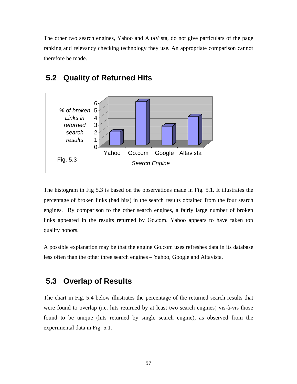The other two search engines, Yahoo and AltaVista, do not give particulars of the page ranking and relevancy checking technology they use. An appropriate comparison cannot therefore be made.



## **5.2 Quality of Returned Hits**

The histogram in Fig 5.3 is based on the observations made in Fig. 5.1. It illustrates the percentage of broken links (bad hits) in the search results obtained from the four search engines. By comparison to the other search engines, a fairly large number of broken links appeared in the results returned by Go.com. Yahoo appears to have taken top quality honors.

A possible explanation may be that the engine Go.com uses refreshes data in its database less often than the other three search engines – Yahoo, Google and Altavista.

# **5.3 Overlap of Results**

The chart in Fig. 5.4 below illustrates the percentage of the returned search results that were found to overlap (i.e. hits returned by at least two search engines) vis-à-vis those found to be unique (hits returned by single search engine), as observed from the experimental data in Fig. 5.1.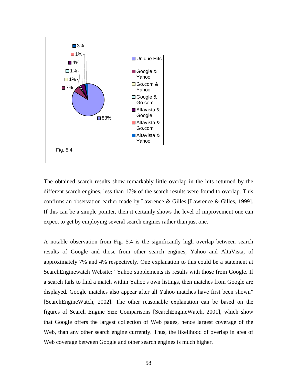

The obtained search results show remarkably little overlap in the hits returned by the different search engines, less than 17% of the search results were found to overlap. This confirms an observation earlier made by Lawrence & Gilles [Lawrence & Gilles, 1999]. If this can be a simple pointer, then it certainly shows the level of improvement one can expect to get by employing several search engines rather than just one.

A notable observation from Fig. 5.4 is the significantly high overlap between search results of Google and those from other search engines, Yahoo and AltaVista, of approximately 7% and 4% respectively. One explanation to this could be a statement at SearchEnginewatch Website: "Yahoo supplements its results with those from Google. If a search fails to find a match within Yahoo's own listings, then matches from Google are displayed. Google matches also appear after all Yahoo matches have first been shown" [SearchEngineWatch, 2002]. The other reasonable explanation can be based on the figures of Search Engine Size Comparisons [SearchEngineWatch, 2001], which show that Google offers the largest collection of Web pages, hence largest coverage of the Web, than any other search engine currently. Thus, the likelihood of overlap in area of Web coverage between Google and other search engines is much higher.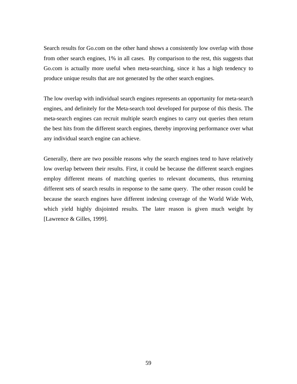Search results for Go.com on the other hand shows a consistently low overlap with those from other search engines, 1% in all cases. By comparison to the rest, this suggests that Go.com is actually more useful when meta-searching, since it has a high tendency to produce unique results that are not generated by the other search engines.

The low overlap with individual search engines represents an opportunity for meta-search engines, and definitely for the Meta-search tool developed for purpose of this thesis. The meta-search engines can recruit multiple search engines to carry out queries then return the best hits from the different search engines, thereby improving performance over what any individual search engine can achieve.

Generally, there are two possible reasons why the search engines tend to have relatively low overlap between their results. First, it could be because the different search engines employ different means of matching queries to relevant documents, thus returning different sets of search results in response to the same query. The other reason could be because the search engines have different indexing coverage of the World Wide Web, which yield highly disjointed results. The later reason is given much weight by [Lawrence & Gilles, 1999].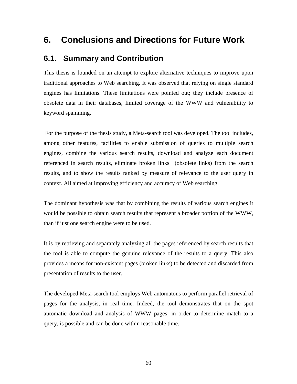# **6. Conclusions and Directions for Future Work**

### **6.1. Summary and Contribution**

This thesis is founded on an attempt to explore alternative techniques to improve upon traditional approaches to Web searching. It was observed that relying on single standard engines has limitations. These limitations were pointed out; they include presence of obsolete data in their databases, limited coverage of the WWW and vulnerability to keyword spamming.

For the purpose of the thesis study, a Meta-search tool was developed. The tool includes, among other features, facilities to enable submission of queries to multiple search engines, combine the various search results, download and analyze each document referenced in search results, eliminate broken links (obsolete links) from the search results, and to show the results ranked by measure of relevance to the user query in context. All aimed at improving efficiency and accuracy of Web searching.

The dominant hypothesis was that by combining the results of various search engines it would be possible to obtain search results that represent a broader portion of the WWW, than if just one search engine were to be used.

It is by retrieving and separately analyzing all the pages referenced by search results that the tool is able to compute the genuine relevance of the results to a query. This also provides a means for non-existent pages (broken links) to be detected and discarded from presentation of results to the user.

The developed Meta-search tool employs Web automatons to perform parallel retrieval of pages for the analysis, in real time. Indeed, the tool demonstrates that on the spot automatic download and analysis of WWW pages, in order to determine match to a query, is possible and can be done within reasonable time.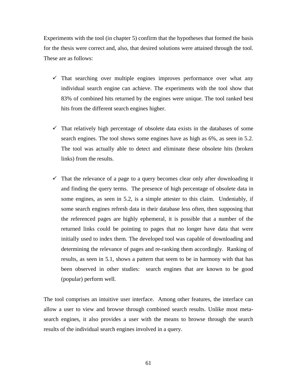Experiments with the tool (in chapter 5) confirm that the hypotheses that formed the basis for the thesis were correct and, also, that desired solutions were attained through the tool. These are as follows:

- $\checkmark$  That searching over multiple engines improves performance over what any individual search engine can achieve. The experiments with the tool show that 83% of combined hits returned by the engines were unique. The tool ranked best hits from the different search engines higher.
- $\checkmark$  That relatively high percentage of obsolete data exists in the databases of some search engines. The tool shows some engines have as high as 6%, as seen in 5.2. The tool was actually able to detect and eliminate these obsolete hits (broken links) from the results.
- $\checkmark$  That the relevance of a page to a query becomes clear only after downloading it and finding the query terms. The presence of high percentage of obsolete data in some engines, as seen in 5.2, is a simple attester to this claim. Undeniably, if some search engines refresh data in their database less often, then supposing that the referenced pages are highly ephemeral, it is possible that a number of the returned links could be pointing to pages that no longer have data that were initially used to index them. The developed tool was capable of downloading and determining the relevance of pages and re-ranking them accordingly. Ranking of results, as seen in 5.1, shows a pattern that seem to be in harmony with that has been observed in other studies: search engines that are known to be good (popular) perform well.

The tool comprises an intuitive user interface. Among other features, the interface can allow a user to view and browse through combined search results. Unlike most metasearch engines, it also provides a user with the means to browse through the search results of the individual search engines involved in a query.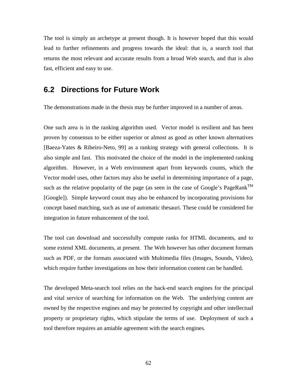The tool is simply an archetype at present though. It is however hoped that this would lead to further refinements and progress towards the ideal: that is, a search tool that returns the most relevant and accurate results from a broad Web search, and that is also fast, efficient and easy to use.

## **6.2 Directions for Future Work**

The demonstrations made in the thesis may be further improved in a number of areas.

One such area is in the ranking algorithm used. Vector model is resilient and has been proven by consensus to be either superior or almost as good as other known alternatives [Baeza-Yates & Ribeiro-Neto, 99] as a ranking strategy with general collections. It is also simple and fast. This motivated the choice of the model in the implemented ranking algorithm. However, in a Web environment apart from keywords counts, which the Vector model uses, other factors may also be useful in determining importance of a page, such as the relative popularity of the page (as seen in the case of Google's PageRank<sup>TM</sup> [Google]). Simple keyword count may also be enhanced by incorporating provisions for concept based matching, such as use of automatic thesauri. These could be considered for integration in future enhancement of the tool.

The tool can download and successfully compute ranks for HTML documents, and to some extend XML documents, at present. The Web however has other document formats such as PDF, or the formats associated with Multimedia files (Images, Sounds, Video), which require further investigations on how their information content can be handled.

The developed Meta-search tool relies on the back-end search engines for the principal and vital service of searching for information on the Web. The underlying content are owned by the respective engines and may be protected by copyright and other intellectual property or proprietary rights, which stipulate the terms of use. Deployment of such a tool therefore requires an amiable agreement with the search engines.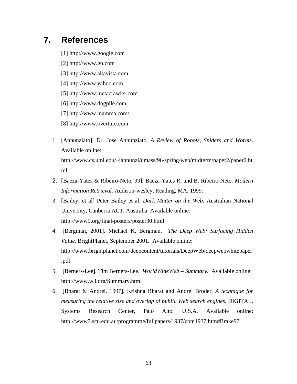# **7. References**

- [1] http://www.google.com
- [2] http://www.go.com
- [3] http://www.altavista.com
- [4] http://www.yahoo.com
- [5] http://www.metacrawler.com
- [6] http://www.dogpile.com
- [7] http://www.mamma.com/
- [8] http://www.overture.com
- 1. [Annunziato]. Dr. Jose Annunziato. *A Review of Robots, Spiders and Worms*. Available online: http://www.cs.uml.edu/~jannunzi/umass/96/spring/web/midterm/paper2/paper2.ht ml
- 2. [Baeza-Yates & Ribeiro-Neto, 99]. Baeza-Yates R. and B. Ribeiro-Neto. *Modern Information Retrieval.* Addison-wesley, Reading, MA, 1999.
- 3. [Bailey, et al] Peter Bailey et al. *Dark Matter on the Web*. Australian National University, Canberra ACT, Australia. Available online: http://www9.org/final-posters/poster30.html
- 4. [Bergman, 2001]. Michael K. Bergman. *The Deep Web: Surfacing Hidden Value*. BrightPlanet, September 2001. Available online: http://www.brightplanet.com/deepcontent/tutorials/DeepWeb/deepwebwhitepaper .pdf
- 5. [Berners-Lee]. Tim Berners-Lee. *WorldWideWeb – Summary*. Available online: http://www.w3.org/Summary.html
- 6. [Bharat & Andrei, 1997]. Krishna Bharat and Andrei Broder. *A technique for measuring the relative size and overlap of public Web search engines*. DIGITAL, Systems Research Center, Palo Alto, U.S.A. Available online: http://www7.scu.edu.au/programme/fullpapers/1937/com1937.htm#Brake97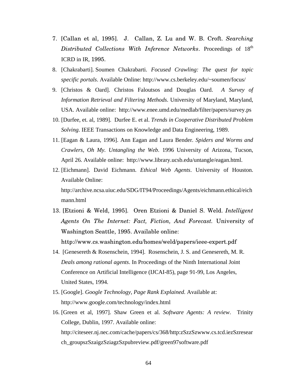- 7. [Callan et al, 1995]. J. Callan, Z. Lu and W. B. Croft. *Searching Distributed Collections With Inference Networks*. Proceedings of 18 th ICRD in IR, 1995.
- 8. [Chakrabarti]. Soumen Chakrabarti. *Focused Crawling: The quest for topic specific portals*. Available Online: http://www.cs.berkeley.edu/~soumen/focus/
- 9. [Christos & Oard]. Christos Faloutsos and Douglas Oard. *A Survey of Information Retrieval and Filtering Methods*. University of Maryland, Maryland, USA. Available online: http://www.enee.umd.edu/medlab/filter/papers/survey.ps
- 10. [Durfee, et. al, 1989]. Durfee E. et al. *Trends in Cooperative Distributed Problem Solving*. IEEE Transactions on Knowledge and Data Engineering, 1989.
- 11. [Eagan & Laura, 1996]. Ann Eagan and Laura Bender. *Spiders and Worms and Crawlers, Oh My. Untangling the Web*. 1996 University of Arizona, Tucson, April 26. Available online: http://www.library.ucsb.edu/untangle/eagan.html.
- 12. [Eichmann]. David Eichmann. *Ethical Web Agents*. University of Houston. Available Online: http://archive.ncsa.uiuc.edu/SDG/IT94/Proceedings/Agents/eichmann.ethical/eich mann.html
- 13. [Etzioni & Weld, 1995]. Oren Etzioni & Daniel S. Weld. *Intelligent Agents On The Internet: Fact, Fiction, And Forecast.* University of Washington Seattle, 1995. Available online: http://www.cs.washington.edu/homes/weld/papers/ieee-expert.pdf
- 14. [Genesereth & Rosenschein, 1994]. Rosenschein, J. S. and Genesereth, M. R. *Deals among rational agents*. In Proceedings of the Ninth International Joint Conference on Artificial Intelligence (IJCAI-85), page 91-99, Los Angeles, United States, 1994.
- 15. [Google]. *Google Technology, Page Rank Explained.* Available at: http://www.google.com/technology/index.html
- 16. [Green et al, 1997]. Shaw Green et al. *Software Agents: A review*. Trinity College, Dublin, 1997. Available online: http://citeseer.nj.nec.com/cache/papers/cs/368/http:zSzzSzwww.cs.tcd.iezSzresear ch\_groupszSzaigzSziagzSzpubreview.pdf/green97software.pdf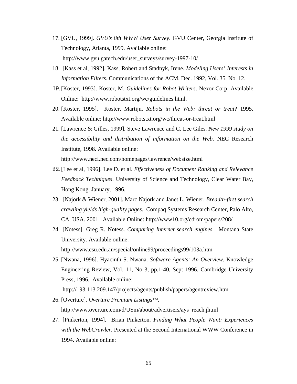- 17. [GVU, 1999]. *GVU's 8th WWW User Survey*. GVU Center, Georgia Institute of Technology, Atlanta, 1999. Available online: http://www.gvu.gatech.edu/user\_surveys/survey-1997-10/
- 18. [Kass et al, 1992]. Kass, Robert and Stadnyk, Irene. *Modeling Users' Interests in Information Filters*. Communications of the ACM, Dec. 1992, Vol. 35, No. 12.
- 19.[Koster, 1993]. Koster, M. *Guidelines for Robot Writers*. Nexor Corp. Available Online: http://www.robotstxt.org/wc/guidelines.html.
- 20. [Koster, 1995]. Koster, Martijn. *Robots in the Web: threat or treat*? 1995. Available online: http://www.robotstxt.org/wc/threat-or-treat.html
- 21. [Lawrence & Gilles, 1999]. Steve Lawrence and C. Lee Giles. *New 1999 study on the accessibility and distribution of information on the Web*. NEC Research Institute, 1998. Available online:

http://www.neci.nec.com/homepages/lawrence/websize.html

- 22.[Lee et al, 1996]. Lee D. et al. *Effectiveness of Document Ranking and Relevance Feedback Techniques*. University of Science and Technology, Clear Water Bay, Hong Kong, January, 1996.
- 23. [Najork & Wiener, 2001]. Marc Najork and Janet L. Wiener. *Breadth-first search crawling yields high-quality pages*. Compaq Systems Research Center, Palo Alto, CA, USA. 2001. Available Online: http://www10.org/cdrom/papers/208/
- 24. [Notess]. Greg R. Notess. *Comparing Internet search engines*. Montana State University. Available online: http://www.csu.edu.au/special/online99/proceedings99/103a.htm
- 25. [Nwana, 1996]. Hyacinth S. Nwana. *Software Agents: An Overview*. Knowledge Engineering Review, Vol. 11, No 3, pp.1-40, Sept 1996. Cambridge University Press, 1996. Available online:

http://193.113.209.147/projects/agents/publish/papers/agentreview.htm

26. [Overture]. *Overture Premium Listings™.*

http://www.overture.com/d/USm/about/advertisers/ays\_reach.jhtml

27. [Pinkerton, 1994]. Brian Pinkerton. *Finding What People Want: Experiences with the WebCrawler*. Presented at the Second International WWW Conference in 1994. Available online: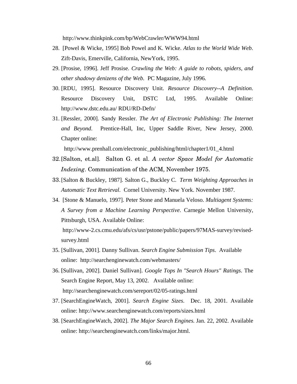http://www.thinkpink.com/bp/WebCrawler/WWW94.html

- 28. [Powel & Wicke, 1995] Bob Powel and K. Wicke. *Atlas to the World Wide Web*. Zift-Davis, Emerville, California, NewYork, 1995.
- 29. [Prosise, 1996]. Jeff Prosise. *Crawling the Web: A guide to robots, spiders, and other shadowy denizens of the Web.* PC Magazine, July 1996.
- 30. [RDU, 1995]. Resource Discovery Unit. *Resource Discovery--A Definition*. Resource Discovery Unit, DSTC Ltd, 1995. Available Online: http://www.dstc.edu.au/ RDU/RD-Defn/
- 31. [Ressler, 2000]. Sandy Ressler. *The Art of Electronic Publishing: The Internet and Beyond*. Prentice-Hall, Inc, Upper Saddle River, New Jersey, 2000. Chapter online:

http://www.prenhall.com/electronic\_publishing/html/chapter1/01\_4.html

- 32.[Salton, et.al]. Salton G. et al. *A vector Space Model for Automatic Indexing*. Communication of the ACM, November 1975.
- 33.[Salton & Buckley, 1987]. Salton G., Buckley C. *Term Weighting Approaches in Automatic Text Retrieval.* Cornel University. New York. November 1987.
- 34. [Stone & Manuelo, 1997]. Peter Stone and Manuela Veloso. *Multiagent Systems: A Survey from a Machine Learning Perspective*. Carnegie Mellon University, Pittsburgh, USA. Available Online:

http://www-2.cs.cmu.edu/afs/cs/usr/pstone/public/papers/97MAS-survey/revisedsurvey.html

- 35. [Sullivan, 2001]. Danny Sullivan. *Search Engine Submission Tips*. Available online: http://searchenginewatch.com/webmasters/
- 36. [Sullivan, 2002]. Daniel Sullivan]. *Google Tops In "Search Hours" Ratings*. The Search Engine Report, May 13, 2002. Available online: http://searchenginewatch.com/sereport/02/05-ratings.html
- 37. [SearchEngineWatch, 2001]. *Search Engine Sizes*. Dec. 18, 2001. Available online: http://www.searchenginewatch.com/reports/sizes.html
- 38. [SearchEngineWatch, 2002]. *The Major Search Engines.* Jan. 22, 2002. Available online: http://searchenginewatch.com/links/major.html.